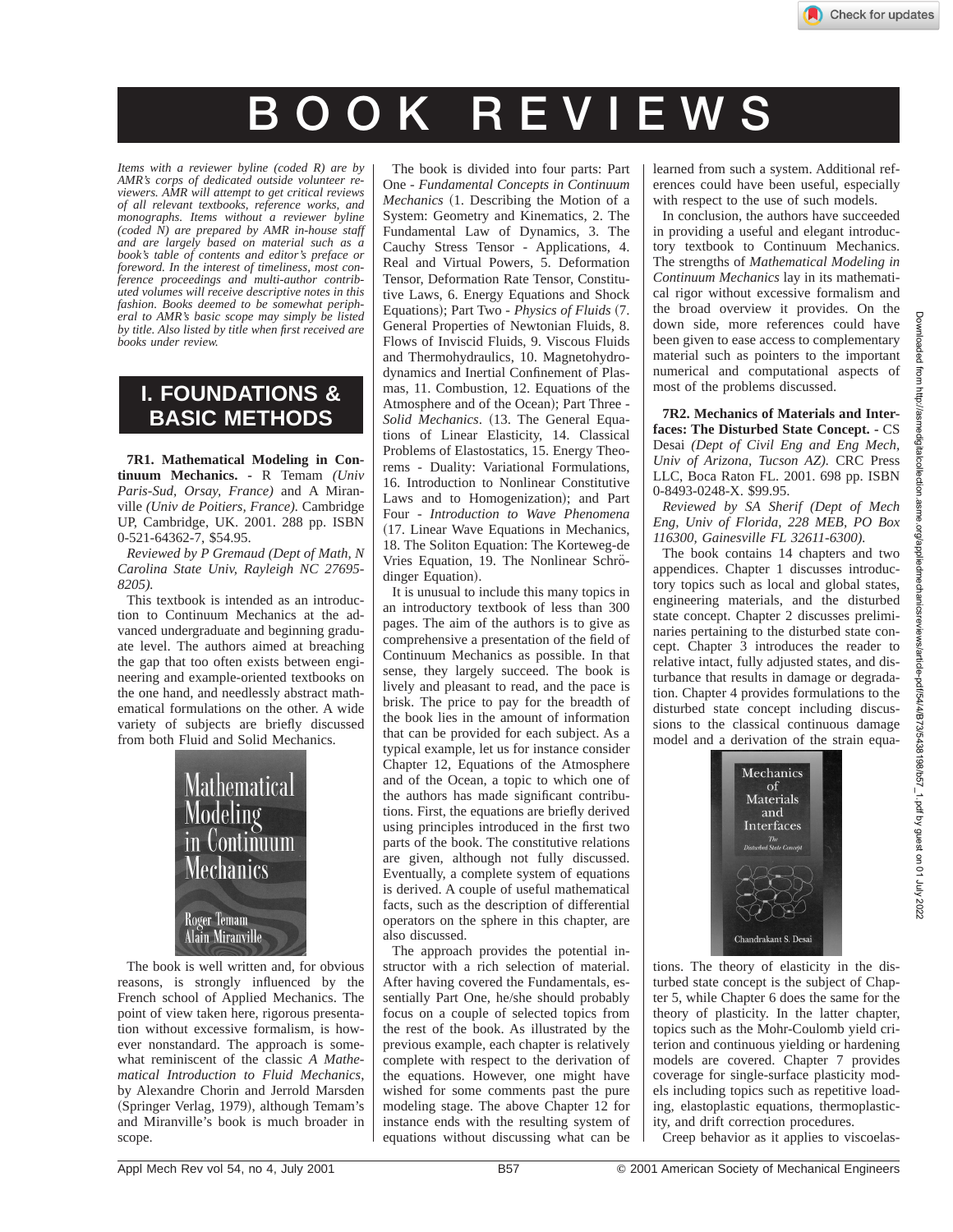# **BOOK REVIEWS**

*Items with a reviewer byline (coded R) are by AMR's corps of dedicated outside volunteer reviewers. AMR will attempt to get critical reviews of all relevant textbooks, reference works, and monographs. Items without a reviewer byline (coded N) are prepared by AMR in-house staff and are largely based on material such as a book's table of contents and editor's preface or foreword. In the interest of timeliness, most conference proceedings and multi-author contributed volumes will receive descriptive notes in this fashion. Books deemed to be somewhat periph-eral to AMR's basic scope may simply be listed by title. Also listed by title when first received are books under review.*

### **I. FOUNDATIONS & BASIC METHODS**

**7R1. Mathematical Modeling in Continuum Mechanics. -** R Temam *(Univ Paris-Sud, Orsay, France)* and A Miranville *(Univ de Poitiers, France).* Cambridge UP, Cambridge, UK. 2001. 288 pp. ISBN 0-521-64362-7, \$54.95.

*Reviewed by P Gremaud (Dept of Math, N Carolina State Univ, Rayleigh NC 27695- 8205).*

This textbook is intended as an introduction to Continuum Mechanics at the advanced undergraduate and beginning graduate level. The authors aimed at breaching the gap that too often exists between engineering and example-oriented textbooks on the one hand, and needlessly abstract mathematical formulations on the other. A wide variety of subjects are briefly discussed from both Fluid and Solid Mechanics.



The book is well written and, for obvious reasons, is strongly influenced by the French school of Applied Mechanics. The point of view taken here, rigorous presentation without excessive formalism, is however nonstandard. The approach is somewhat reminiscent of the classic *A Mathematical Introduction to Fluid Mechanics*, by Alexandre Chorin and Jerrold Marsden (Springer Verlag, 1979), although Temam's and Miranville's book is much broader in scope.

The book is divided into four parts: Part One - *Fundamental Concepts in Continuum Mechanics* (1. Describing the Motion of a System: Geometry and Kinematics, 2. The Fundamental Law of Dynamics, 3. The Cauchy Stress Tensor - Applications, 4. Real and Virtual Powers, 5. Deformation Tensor, Deformation Rate Tensor, Constitutive Laws, 6. Energy Equations and Shock Equations); Part Two - *Physics of Fluids* (7. General Properties of Newtonian Fluids, 8. Flows of Inviscid Fluids, 9. Viscous Fluids and Thermohydraulics, 10. Magnetohydrodynamics and Inertial Confinement of Plasmas, 11. Combustion, 12. Equations of the Atmosphere and of the Ocean); Part Three -*Solid Mechanics.* (13. The General Equations of Linear Elasticity, 14. Classical Problems of Elastostatics, 15. Energy Theorems - Duality: Variational Formulations, 16. Introduction to Nonlinear Constitutive Laws and to Homogenization); and Part Four - *Introduction to Wave Phenomena* (17. Linear Wave Equations in Mechanics, 18. The Soliton Equation: The Korteweg-de Vries Equation, 19. The Nonlinear Schrödinger Equation).

It is unusual to include this many topics in an introductory textbook of less than 300 pages. The aim of the authors is to give as comprehensive a presentation of the field of Continuum Mechanics as possible. In that sense, they largely succeed. The book is lively and pleasant to read, and the pace is brisk. The price to pay for the breadth of the book lies in the amount of information that can be provided for each subject. As a typical example, let us for instance consider Chapter 12, Equations of the Atmosphere and of the Ocean, a topic to which one of the authors has made significant contributions. First, the equations are briefly derived using principles introduced in the first two parts of the book. The constitutive relations are given, although not fully discussed. Eventually, a complete system of equations is derived. A couple of useful mathematical facts, such as the description of differential operators on the sphere in this chapter, are also discussed.

The approach provides the potential instructor with a rich selection of material. After having covered the Fundamentals, essentially Part One, he/she should probably focus on a couple of selected topics from the rest of the book. As illustrated by the previous example, each chapter is relatively complete with respect to the derivation of the equations. However, one might have wished for some comments past the pure modeling stage. The above Chapter 12 for instance ends with the resulting system of equations without discussing what can be

learned from such a system. Additional references could have been useful, especially with respect to the use of such models.

In conclusion, the authors have succeeded in providing a useful and elegant introductory textbook to Continuum Mechanics. The strengths of *Mathematical Modeling in Continuum Mechanics* lay in its mathematical rigor without excessive formalism and the broad overview it provides. On the down side, more references could have been given to ease access to complementary material such as pointers to the important numerical and computational aspects of most of the problems discussed.

**7R2. Mechanics of Materials and Interfaces: The Disturbed State Concept. -** CS Desai *(Dept of Civil Eng and Eng Mech, Univ of Arizona, Tucson AZ).* CRC Press LLC, Boca Raton FL. 2001. 698 pp. ISBN 0-8493-0248-X. \$99.95.

*Reviewed by SA Sherif (Dept of Mech Eng, Univ of Florida, 228 MEB, PO Box 116300, Gainesville FL 32611-6300).*

The book contains 14 chapters and two appendices. Chapter 1 discusses introductory topics such as local and global states, engineering materials, and the disturbed state concept. Chapter 2 discusses preliminaries pertaining to the disturbed state concept. Chapter 3 introduces the reader to relative intact, fully adjusted states, and disturbance that results in damage or degradation. Chapter 4 provides formulations to the disturbed state concept including discussions to the classical continuous damage model and a derivation of the strain equa-



tions. The theory of elasticity in the disturbed state concept is the subject of Chapter 5, while Chapter 6 does the same for the theory of plasticity. In the latter chapter, topics such as the Mohr-Coulomb yield criterion and continuous yielding or hardening models are covered. Chapter 7 provides coverage for single-surface plasticity models including topics such as repetitive loading, elastoplastic equations, thermoplasticity, and drift correction procedures.

Creep behavior as it applies to viscoelas-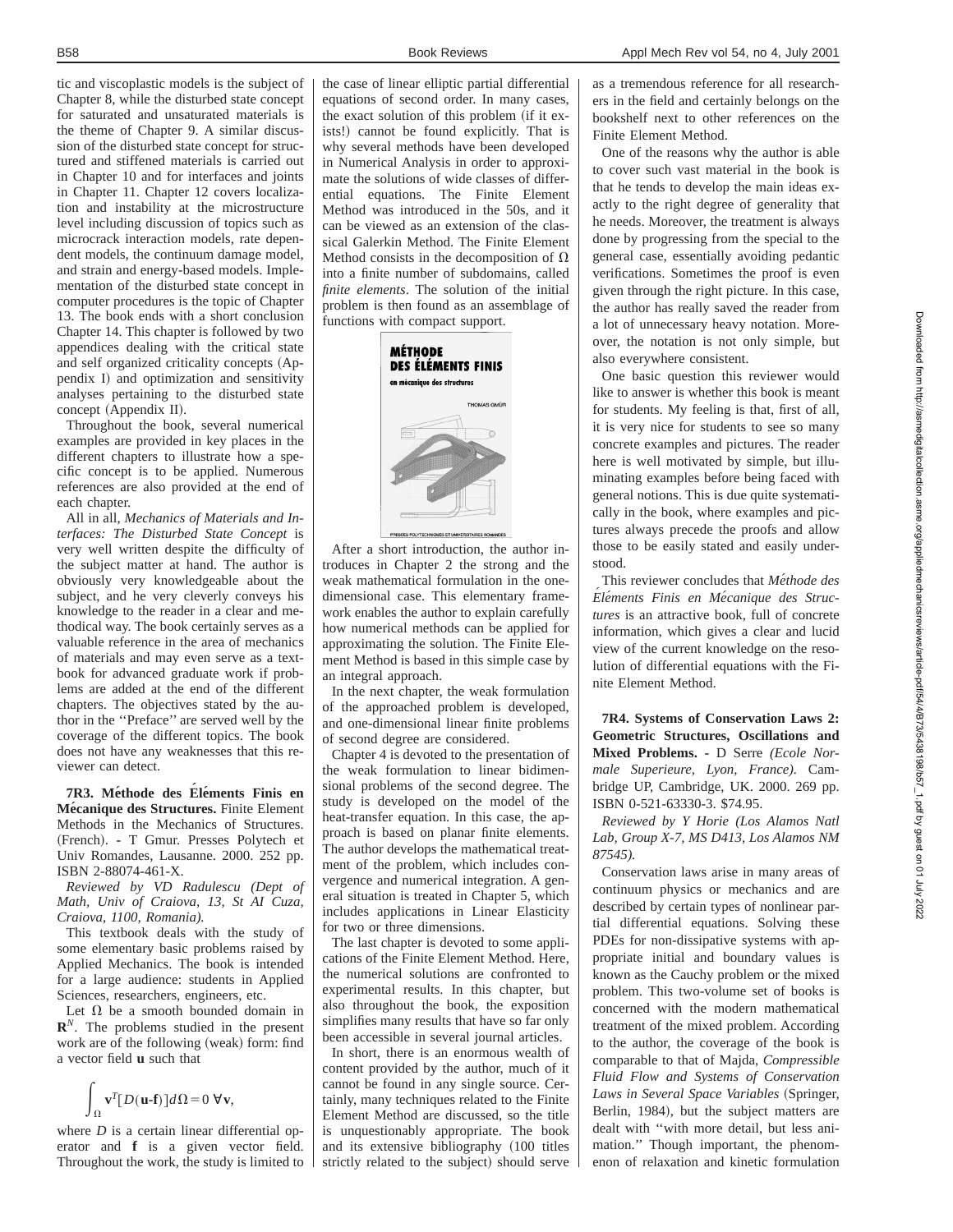tic and viscoplastic models is the subject of Chapter 8, while the disturbed state concept for saturated and unsaturated materials is the theme of Chapter 9. A similar discussion of the disturbed state concept for structured and stiffened materials is carried out in Chapter 10 and for interfaces and joints in Chapter 11. Chapter 12 covers localization and instability at the microstructure level including discussion of topics such as microcrack interaction models, rate dependent models, the continuum damage model, and strain and energy-based models. Implementation of the disturbed state concept in computer procedures is the topic of Chapter 13. The book ends with a short conclusion Chapter 14. This chapter is followed by two appendices dealing with the critical state and self organized criticality concepts (Appendix I) and optimization and sensitivity analyses pertaining to the disturbed state concept (Appendix II).

Throughout the book, several numerical examples are provided in key places in the different chapters to illustrate how a specific concept is to be applied. Numerous references are also provided at the end of each chapter.

All in all, *Mechanics of Materials and Interfaces: The Disturbed State Concept* is very well written despite the difficulty of the subject matter at hand. The author is obviously very knowledgeable about the subject, and he very cleverly conveys his knowledge to the reader in a clear and methodical way. The book certainly serves as a valuable reference in the area of mechanics of materials and may even serve as a textbook for advanced graduate work if problems are added at the end of the different chapters. The objectives stated by the author in the ''Preface'' are served well by the coverage of the different topics. The book does not have any weaknesses that this reviewer can detect.

**7R3. Me´thode des E´ le´ments Finis en Mécanique des Structures.** Finite Element Methods in the Mechanics of Structures. ~French!. **-** T Gmur. Presses Polytech et Univ Romandes, Lausanne. 2000. 252 pp. ISBN 2-88074-461-X.

*Reviewed by VD Radulescu (Dept of Math, Univ of Craiova, 13, St AI Cuza, Craiova, 1100, Romania).*

This textbook deals with the study of some elementary basic problems raised by Applied Mechanics. The book is intended for a large audience: students in Applied Sciences, researchers, engineers, etc.

Let  $\Omega$  be a smooth bounded domain in **R***<sup>N</sup>*. The problems studied in the present work are of the following (weak) form: find a vector field **u** such that

 $\int_{\Omega} \mathbf{v}^T [D(\mathbf{u}\text{-f})] d\Omega = 0 \,\forall \mathbf{v},$ 

where *D* is a certain linear differential operator and **f** is a given vector field. Throughout the work, the study is limited to

the case of linear elliptic partial differential equations of second order. In many cases, the exact solution of this problem  $(if$  it exists!) cannot be found explicitly. That is why several methods have been developed in Numerical Analysis in order to approximate the solutions of wide classes of differential equations. The Finite Element Method was introduced in the 50s, and it can be viewed as an extension of the classical Galerkin Method. The Finite Element Method consists in the decomposition of  $\Omega$ into a finite number of subdomains, called *finite elements*. The solution of the initial problem is then found as an assemblage of functions with compact support.



After a short introduction, the author introduces in Chapter 2 the strong and the weak mathematical formulation in the onedimensional case. This elementary framework enables the author to explain carefully how numerical methods can be applied for approximating the solution. The Finite Element Method is based in this simple case by an integral approach.

In the next chapter, the weak formulation of the approached problem is developed, and one-dimensional linear finite problems of second degree are considered.

Chapter 4 is devoted to the presentation of the weak formulation to linear bidimensional problems of the second degree. The study is developed on the model of the heat-transfer equation. In this case, the approach is based on planar finite elements. The author develops the mathematical treatment of the problem, which includes convergence and numerical integration. A general situation is treated in Chapter 5, which includes applications in Linear Elasticity for two or three dimensions.

The last chapter is devoted to some applications of the Finite Element Method. Here, the numerical solutions are confronted to experimental results. In this chapter, but also throughout the book, the exposition simplifies many results that have so far only been accessible in several journal articles.

In short, there is an enormous wealth of content provided by the author, much of it cannot be found in any single source. Certainly, many techniques related to the Finite Element Method are discussed, so the title is unquestionably appropriate. The book and its extensive bibliography (100 titles strictly related to the subject) should serve

as a tremendous reference for all researchers in the field and certainly belongs on the bookshelf next to other references on the Finite Element Method.

One of the reasons why the author is able to cover such vast material in the book is that he tends to develop the main ideas exactly to the right degree of generality that he needs. Moreover, the treatment is always done by progressing from the special to the general case, essentially avoiding pedantic verifications. Sometimes the proof is even given through the right picture. In this case, the author has really saved the reader from a lot of unnecessary heavy notation. Moreover, the notation is not only simple, but also everywhere consistent.

One basic question this reviewer would like to answer is whether this book is meant for students. My feeling is that, first of all, it is very nice for students to see so many concrete examples and pictures. The reader here is well motivated by simple, but illuminating examples before being faced with general notions. This is due quite systematically in the book, where examples and pictures always precede the proofs and allow those to be easily stated and easily understood.

This reviewer concludes that *Me´thode des E ´le´ments Finis en Me´canique des Structures* is an attractive book, full of concrete information, which gives a clear and lucid view of the current knowledge on the resolution of differential equations with the Finite Element Method.

**7R4. Systems of Conservation Laws 2: Geometric Structures, Oscillations and Mixed Problems. -** D Serre *(Ecole Normale Superieure, Lyon, France).* Cambridge UP, Cambridge, UK. 2000. 269 pp. ISBN 0-521-63330-3. \$74.95.

*Reviewed by Y Horie (Los Alamos Natl Lab, Group X-7, MS D413, Los Alamos NM 87545).*

Conservation laws arise in many areas of continuum physics or mechanics and are described by certain types of nonlinear partial differential equations. Solving these PDEs for non-dissipative systems with appropriate initial and boundary values is known as the Cauchy problem or the mixed problem. This two-volume set of books is concerned with the modern mathematical treatment of the mixed problem. According to the author, the coverage of the book is comparable to that of Majda, *Compressible Fluid Flow and Systems of Conservation* Laws in Several Space Variables (Springer, Berlin, 1984), but the subject matters are dealt with ''with more detail, but less animation.'' Though important, the phenomenon of relaxation and kinetic formulation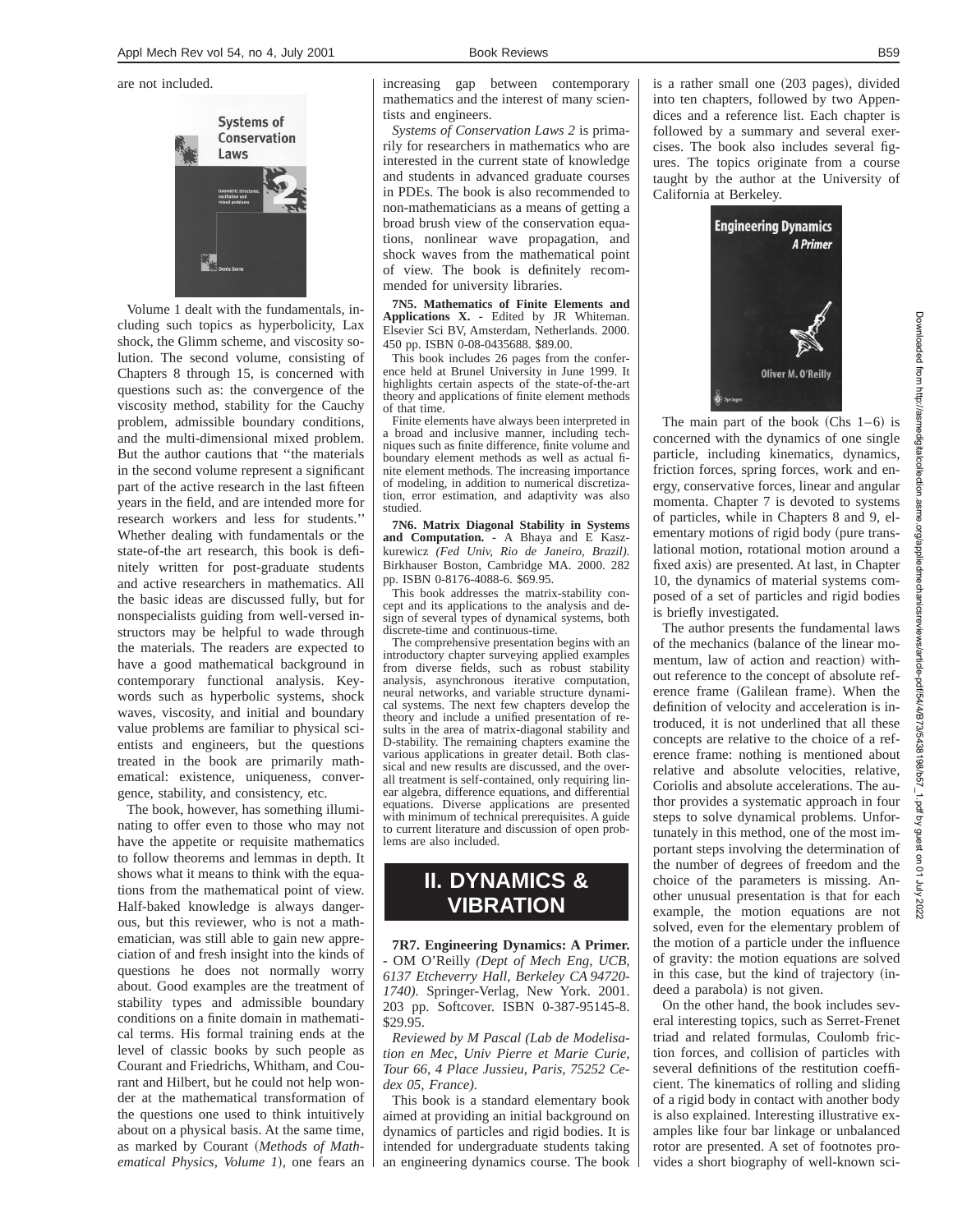are not included.



Volume 1 dealt with the fundamentals, including such topics as hyperbolicity, Lax shock, the Glimm scheme, and viscosity solution. The second volume, consisting of Chapters 8 through 15, is concerned with questions such as: the convergence of the viscosity method, stability for the Cauchy problem, admissible boundary conditions, and the multi-dimensional mixed problem. But the author cautions that ''the materials in the second volume represent a significant part of the active research in the last fifteen years in the field, and are intended more for research workers and less for students.'' Whether dealing with fundamentals or the state-of-the art research, this book is definitely written for post-graduate students and active researchers in mathematics. All the basic ideas are discussed fully, but for nonspecialists guiding from well-versed instructors may be helpful to wade through the materials. The readers are expected to have a good mathematical background in contemporary functional analysis. Keywords such as hyperbolic systems, shock waves, viscosity, and initial and boundary value problems are familiar to physical scientists and engineers, but the questions treated in the book are primarily mathematical: existence, uniqueness, convergence, stability, and consistency, etc.

The book, however, has something illuminating to offer even to those who may not have the appetite or requisite mathematics to follow theorems and lemmas in depth. It shows what it means to think with the equations from the mathematical point of view. Half-baked knowledge is always dangerous, but this reviewer, who is not a mathematician, was still able to gain new appreciation of and fresh insight into the kinds of questions he does not normally worry about. Good examples are the treatment of stability types and admissible boundary conditions on a finite domain in mathematical terms. His formal training ends at the level of classic books by such people as Courant and Friedrichs, Whitham, and Courant and Hilbert, but he could not help wonder at the mathematical transformation of the questions one used to think intuitively about on a physical basis. At the same time, as marked by Courant (Methods of Math*ematical Physics, Volume 1*), one fears an

increasing gap between contemporary mathematics and the interest of many scientists and engineers.

*Systems of Conservation Laws 2* is primarily for researchers in mathematics who are interested in the current state of knowledge and students in advanced graduate courses in PDEs. The book is also recommended to non-mathematicians as a means of getting a broad brush view of the conservation equations, nonlinear wave propagation, and shock waves from the mathematical point of view. The book is definitely recommended for university libraries.

**7N5. Mathematics of Finite Elements and Applications X. -** Edited by JR Whiteman. Elsevier Sci BV, Amsterdam, Netherlands. 2000. 450 pp. ISBN 0-08-0435688. \$89.00.

This book includes 26 pages from the conference held at Brunel University in June 1999. It highlights certain aspects of the state-of-the-art theory and applications of finite element methods of that time.

Finite elements have always been interpreted in a broad and inclusive manner, including techniques such as finite difference, finite volume and boundary element methods as well as actual finite element methods. The increasing importance of modeling, in addition to numerical discretization, error estimation, and adaptivity was also studied.

**7N6. Matrix Diagonal Stability in Systems and Computation. -** A Bhaya and E Kaszkurewicz *(Fed Univ, Rio de Janeiro, Brazil).* Birkhauser Boston, Cambridge MA. 2000. 282 pp. ISBN 0-8176-4088-6. \$69.95.

This book addresses the matrix-stability concept and its applications to the analysis and design of several types of dynamical systems, both discrete-time and continuous-time.

The comprehensive presentation begins with an introductory chapter surveying applied examples from diverse fields, such as robust stability analysis, asynchronous iterative computation, neural networks, and variable structure dynamical systems. The next few chapters develop the theory and include a unified presentation of results in the area of matrix-diagonal stability and D-stability. The remaining chapters examine the various applications in greater detail. Both classical and new results are discussed, and the overall treatment is self-contained, only requiring linear algebra, difference equations, and differential equations. Diverse applications are presented with minimum of technical prerequisites. A guide to current literature and discussion of open problems are also included.

### **II. DYNAMICS & VIBRATION**

**7R7. Engineering Dynamics: A Primer. -** OM O'Reilly *(Dept of Mech Eng, UCB, 6137 Etcheverry Hall, Berkeley CA 94720- 1740).* Springer-Verlag, New York. 2001. 203 pp. Softcover. ISBN 0-387-95145-8. \$29.95.

*Reviewed by M Pascal (Lab de Modelisation en Mec, Univ Pierre et Marie Curie, Tour 66, 4 Place Jussieu, Paris, 75252 Cedex 05, France).*

This book is a standard elementary book aimed at providing an initial background on dynamics of particles and rigid bodies. It is intended for undergraduate students taking an engineering dynamics course. The book

is a rather small one (203 pages), divided into ten chapters, followed by two Appendices and a reference list. Each chapter is followed by a summary and several exercises. The book also includes several figures. The topics originate from a course taught by the author at the University of California at Berkeley.



The main part of the book  $(Chs 1–6)$  is concerned with the dynamics of one single particle, including kinematics, dynamics, friction forces, spring forces, work and energy, conservative forces, linear and angular momenta. Chapter 7 is devoted to systems of particles, while in Chapters 8 and 9, elementary motions of rigid body (pure translational motion, rotational motion around a fixed axis) are presented. At last, in Chapter 10, the dynamics of material systems composed of a set of particles and rigid bodies is briefly investigated.

The author presents the fundamental laws of the mechanics (balance of the linear momentum, law of action and reaction) without reference to the concept of absolute reference frame (Galilean frame). When the definition of velocity and acceleration is introduced, it is not underlined that all these concepts are relative to the choice of a reference frame: nothing is mentioned about relative and absolute velocities, relative, Coriolis and absolute accelerations. The author provides a systematic approach in four steps to solve dynamical problems. Unfortunately in this method, one of the most important steps involving the determination of the number of degrees of freedom and the choice of the parameters is missing. Another unusual presentation is that for each example, the motion equations are not solved, even for the elementary problem of the motion of a particle under the influence of gravity: the motion equations are solved in this case, but the kind of trajectory (indeed a parabola) is not given.

On the other hand, the book includes several interesting topics, such as Serret-Frenet triad and related formulas, Coulomb friction forces, and collision of particles with several definitions of the restitution coefficient. The kinematics of rolling and sliding of a rigid body in contact with another body is also explained. Interesting illustrative examples like four bar linkage or unbalanced rotor are presented. A set of footnotes provides a short biography of well-known sci-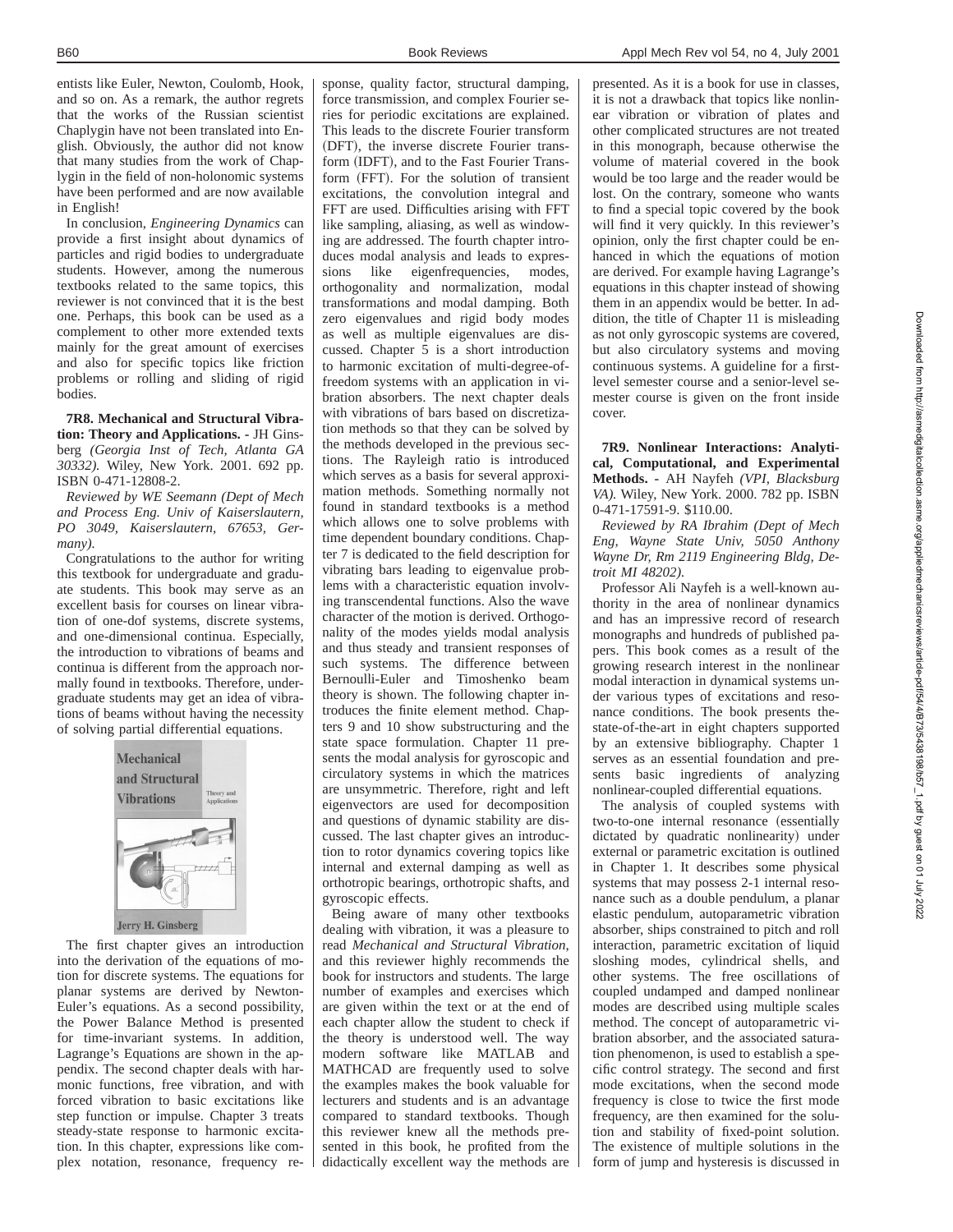entists like Euler, Newton, Coulomb, Hook, and so on. As a remark, the author regrets that the works of the Russian scientist Chaplygin have not been translated into English. Obviously, the author did not know that many studies from the work of Chaplygin in the field of non-holonomic systems have been performed and are now available in English!

In conclusion, *Engineering Dynamics* can provide a first insight about dynamics of particles and rigid bodies to undergraduate students. However, among the numerous textbooks related to the same topics, this reviewer is not convinced that it is the best one. Perhaps, this book can be used as a complement to other more extended texts mainly for the great amount of exercises and also for specific topics like friction problems or rolling and sliding of rigid bodies.

**7R8. Mechanical and Structural Vibration: Theory and Applications. -** JH Ginsberg *(Georgia Inst of Tech, Atlanta GA 30332).* Wiley, New York. 2001. 692 pp. ISBN 0-471-12808-2.

*Reviewed by WE Seemann (Dept of Mech and Process Eng. Univ of Kaiserslautern, PO 3049, Kaiserslautern, 67653, Germany).*

Congratulations to the author for writing this textbook for undergraduate and graduate students. This book may serve as an excellent basis for courses on linear vibration of one-dof systems, discrete systems, and one-dimensional continua. Especially, the introduction to vibrations of beams and continua is different from the approach normally found in textbooks. Therefore, undergraduate students may get an idea of vibrations of beams without having the necessity of solving partial differential equations.



The first chapter gives an introduction into the derivation of the equations of motion for discrete systems. The equations for planar systems are derived by Newton-Euler's equations. As a second possibility, the Power Balance Method is presented for time-invariant systems. In addition, Lagrange's Equations are shown in the appendix. The second chapter deals with harmonic functions, free vibration, and with forced vibration to basic excitations like step function or impulse. Chapter 3 treats steady-state response to harmonic excitation. In this chapter, expressions like complex notation, resonance, frequency response, quality factor, structural damping, force transmission, and complex Fourier series for periodic excitations are explained. This leads to the discrete Fourier transform (DFT), the inverse discrete Fourier transform (IDFT), and to the Fast Fourier Transform (FFT). For the solution of transient excitations, the convolution integral and FFT are used. Difficulties arising with FFT like sampling, aliasing, as well as windowing are addressed. The fourth chapter introduces modal analysis and leads to expres-<br>sions like eigenfrequencies, modes, eigenfrequencies, modes, orthogonality and normalization, modal transformations and modal damping. Both zero eigenvalues and rigid body modes as well as multiple eigenvalues are discussed. Chapter 5 is a short introduction to harmonic excitation of multi-degree-offreedom systems with an application in vibration absorbers. The next chapter deals with vibrations of bars based on discretization methods so that they can be solved by the methods developed in the previous sections. The Rayleigh ratio is introduced which serves as a basis for several approximation methods. Something normally not found in standard textbooks is a method which allows one to solve problems with time dependent boundary conditions. Chapter 7 is dedicated to the field description for vibrating bars leading to eigenvalue problems with a characteristic equation involving transcendental functions. Also the wave character of the motion is derived. Orthogonality of the modes yields modal analysis and thus steady and transient responses of such systems. The difference between Bernoulli-Euler and Timoshenko beam theory is shown. The following chapter introduces the finite element method. Chapters 9 and 10 show substructuring and the state space formulation. Chapter 11 presents the modal analysis for gyroscopic and circulatory systems in which the matrices are unsymmetric. Therefore, right and left eigenvectors are used for decomposition and questions of dynamic stability are discussed. The last chapter gives an introduction to rotor dynamics covering topics like internal and external damping as well as orthotropic bearings, orthotropic shafts, and gyroscopic effects.

Being aware of many other textbooks dealing with vibration, it was a pleasure to read *Mechanical and Structural Vibration*, and this reviewer highly recommends the book for instructors and students. The large number of examples and exercises which are given within the text or at the end of each chapter allow the student to check if the theory is understood well. The way modern software like MATLAB and MATHCAD are frequently used to solve the examples makes the book valuable for lecturers and students and is an advantage compared to standard textbooks. Though this reviewer knew all the methods presented in this book, he profited from the didactically excellent way the methods are presented. As it is a book for use in classes, it is not a drawback that topics like nonlinear vibration or vibration of plates and other complicated structures are not treated in this monograph, because otherwise the volume of material covered in the book would be too large and the reader would be lost. On the contrary, someone who wants to find a special topic covered by the book will find it very quickly. In this reviewer's opinion, only the first chapter could be enhanced in which the equations of motion are derived. For example having Lagrange's equations in this chapter instead of showing them in an appendix would be better. In addition, the title of Chapter 11 is misleading as not only gyroscopic systems are covered, but also circulatory systems and moving continuous systems. A guideline for a firstlevel semester course and a senior-level semester course is given on the front inside cover.

**7R9. Nonlinear Interactions: Analytical, Computational, and Experimental Methods. -** AH Nayfeh *(VPI, Blacksburg VA).* Wiley, New York. 2000. 782 pp. ISBN 0-471-17591-9. \$110.00.

*Reviewed by RA Ibrahim (Dept of Mech Eng, Wayne State Univ, 5050 Anthony Wayne Dr, Rm 2119 Engineering Bldg, Detroit MI 48202).*

Professor Ali Nayfeh is a well-known authority in the area of nonlinear dynamics and has an impressive record of research monographs and hundreds of published papers. This book comes as a result of the growing research interest in the nonlinear modal interaction in dynamical systems under various types of excitations and resonance conditions. The book presents thestate-of-the-art in eight chapters supported by an extensive bibliography. Chapter 1 serves as an essential foundation and presents basic ingredients of analyzing nonlinear-coupled differential equations.

The analysis of coupled systems with two-to-one internal resonance (essentially dictated by quadratic nonlinearity) under external or parametric excitation is outlined in Chapter 1. It describes some physical systems that may possess 2-1 internal resonance such as a double pendulum, a planar elastic pendulum, autoparametric vibration absorber, ships constrained to pitch and roll interaction, parametric excitation of liquid sloshing modes, cylindrical shells, and other systems. The free oscillations of coupled undamped and damped nonlinear modes are described using multiple scales method. The concept of autoparametric vibration absorber, and the associated saturation phenomenon, is used to establish a specific control strategy. The second and first mode excitations, when the second mode frequency is close to twice the first mode frequency, are then examined for the solution and stability of fixed-point solution. The existence of multiple solutions in the form of jump and hysteresis is discussed in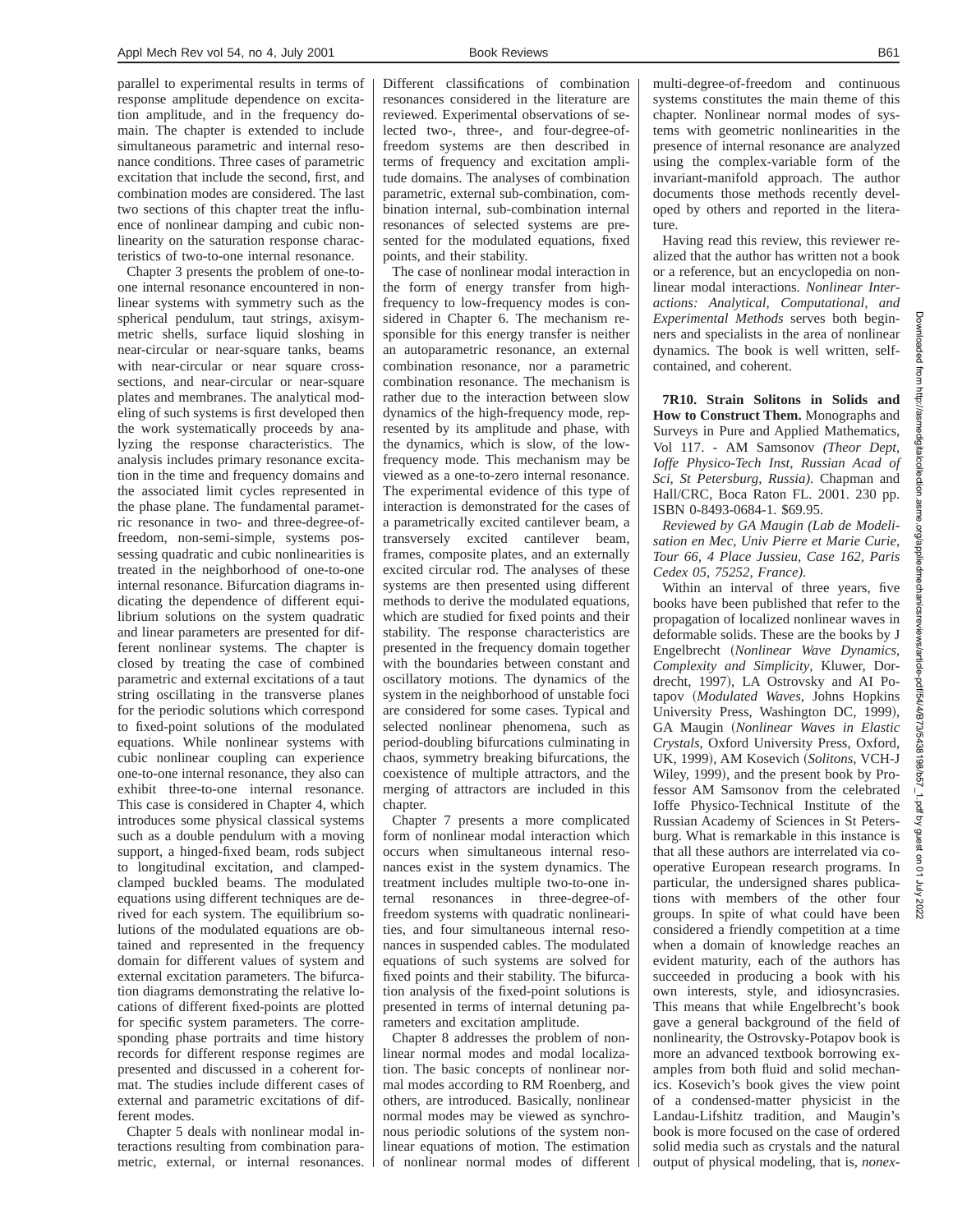parallel to experimental results in terms of response amplitude dependence on excitation amplitude, and in the frequency domain. The chapter is extended to include simultaneous parametric and internal resonance conditions. Three cases of parametric excitation that include the second, first, and combination modes are considered. The last two sections of this chapter treat the influence of nonlinear damping and cubic nonlinearity on the saturation response characteristics of two-to-one internal resonance.

Chapter 3 presents the problem of one-toone internal resonance encountered in nonlinear systems with symmetry such as the spherical pendulum, taut strings, axisymmetric shells, surface liquid sloshing in near-circular or near-square tanks, beams with near-circular or near square crosssections, and near-circular or near-square plates and membranes. The analytical modeling of such systems is first developed then the work systematically proceeds by analyzing the response characteristics. The analysis includes primary resonance excitation in the time and frequency domains and the associated limit cycles represented in the phase plane. The fundamental parametric resonance in two- and three-degree-offreedom, non-semi-simple, systems possessing quadratic and cubic nonlinearities is treated in the neighborhood of one-to-one internal resonance. Bifurcation diagrams indicating the dependence of different equilibrium solutions on the system quadratic and linear parameters are presented for different nonlinear systems. The chapter is closed by treating the case of combined parametric and external excitations of a taut string oscillating in the transverse planes for the periodic solutions which correspond to fixed-point solutions of the modulated equations. While nonlinear systems with cubic nonlinear coupling can experience one-to-one internal resonance, they also can exhibit three-to-one internal resonance. This case is considered in Chapter 4, which introduces some physical classical systems such as a double pendulum with a moving support, a hinged-fixed beam, rods subject to longitudinal excitation, and clampedclamped buckled beams. The modulated equations using different techniques are derived for each system. The equilibrium solutions of the modulated equations are obtained and represented in the frequency domain for different values of system and external excitation parameters. The bifurcation diagrams demonstrating the relative locations of different fixed-points are plotted for specific system parameters. The corresponding phase portraits and time history records for different response regimes are presented and discussed in a coherent format. The studies include different cases of external and parametric excitations of different modes.

Chapter 5 deals with nonlinear modal interactions resulting from combination parametric, external, or internal resonances. Different classifications of combination resonances considered in the literature are reviewed. Experimental observations of selected two-, three-, and four-degree-offreedom systems are then described in terms of frequency and excitation amplitude domains. The analyses of combination parametric, external sub-combination, combination internal, sub-combination internal resonances of selected systems are presented for the modulated equations, fixed points, and their stability.

The case of nonlinear modal interaction in the form of energy transfer from highfrequency to low-frequency modes is considered in Chapter 6. The mechanism responsible for this energy transfer is neither an autoparametric resonance, an external combination resonance, nor a parametric combination resonance. The mechanism is rather due to the interaction between slow dynamics of the high-frequency mode, represented by its amplitude and phase, with the dynamics, which is slow, of the lowfrequency mode. This mechanism may be viewed as a one-to-zero internal resonance. The experimental evidence of this type of interaction is demonstrated for the cases of a parametrically excited cantilever beam, a transversely excited cantilever beam, frames, composite plates, and an externally excited circular rod. The analyses of these systems are then presented using different methods to derive the modulated equations, which are studied for fixed points and their stability. The response characteristics are presented in the frequency domain together with the boundaries between constant and oscillatory motions. The dynamics of the system in the neighborhood of unstable foci are considered for some cases. Typical and selected nonlinear phenomena, such as period-doubling bifurcations culminating in chaos, symmetry breaking bifurcations, the coexistence of multiple attractors, and the merging of attractors are included in this chapter.

Chapter 7 presents a more complicated form of nonlinear modal interaction which occurs when simultaneous internal resonances exist in the system dynamics. The treatment includes multiple two-to-one internal resonances in three-degree-offreedom systems with quadratic nonlinearities, and four simultaneous internal resonances in suspended cables. The modulated equations of such systems are solved for fixed points and their stability. The bifurcation analysis of the fixed-point solutions is presented in terms of internal detuning parameters and excitation amplitude.

Chapter 8 addresses the problem of nonlinear normal modes and modal localization. The basic concepts of nonlinear normal modes according to RM Roenberg, and others, are introduced. Basically, nonlinear normal modes may be viewed as synchronous periodic solutions of the system nonlinear equations of motion. The estimation of nonlinear normal modes of different

multi-degree-of-freedom and continuous systems constitutes the main theme of this chapter. Nonlinear normal modes of systems with geometric nonlinearities in the presence of internal resonance are analyzed using the complex-variable form of the invariant-manifold approach. The author documents those methods recently developed by others and reported in the literature.

Having read this review, this reviewer realized that the author has written not a book or a reference, but an encyclopedia on nonlinear modal interactions. *Nonlinear Interactions: Analytical, Computational, and Experimental Methods* serves both beginners and specialists in the area of nonlinear dynamics. The book is well written, selfcontained, and coherent.

**7R10. Strain Solitons in Solids and How to Construct Them.** Monographs and Surveys in Pure and Applied Mathematics, Vol 117. - AM Samsonov *(Theor Dept, Ioffe Physico-Tech Inst, Russian Acad of Sci, St Petersburg, Russia).* Chapman and Hall/CRC, Boca Raton FL. 2001. 230 pp. ISBN 0-8493-0684-1. \$69.95.

*Reviewed by GA Maugin (Lab de Modelisation en Mec, Univ Pierre et Marie Curie, Tour 66, 4 Place Jussieu, Case 162, Paris Cedex 05, 75252, France).*

Within an interval of three years, five books have been published that refer to the propagation of localized nonlinear waves in deformable solids. These are the books by J Engelbrecht ~*Nonlinear Wave Dynamics, Complexity and Simplicity*, Kluwer, Dordrecht, 1997), LA Ostrovsky and AI Potapov ~*Modulated Waves*, Johns Hopkins University Press, Washington DC, 1999), GA Maugin (Nonlinear Waves in Elastic *Crystals*, Oxford University Press, Oxford, UK, 1999), AM Kosevich (Solitons, VCH-J Wiley, 1999), and the present book by Professor AM Samsonov from the celebrated Ioffe Physico-Technical Institute of the Russian Academy of Sciences in St Petersburg. What is remarkable in this instance is that all these authors are interrelated via cooperative European research programs. In particular, the undersigned shares publications with members of the other four groups. In spite of what could have been considered a friendly competition at a time when a domain of knowledge reaches an evident maturity, each of the authors has succeeded in producing a book with his own interests, style, and idiosyncrasies. This means that while Engelbrecht's book gave a general background of the field of nonlinearity, the Ostrovsky-Potapov book is more an advanced textbook borrowing examples from both fluid and solid mechanics. Kosevich's book gives the view point of a condensed-matter physicist in the Landau-Lifshitz tradition, and Maugin's book is more focused on the case of ordered solid media such as crystals and the natural output of physical modeling, that is, *nonex-*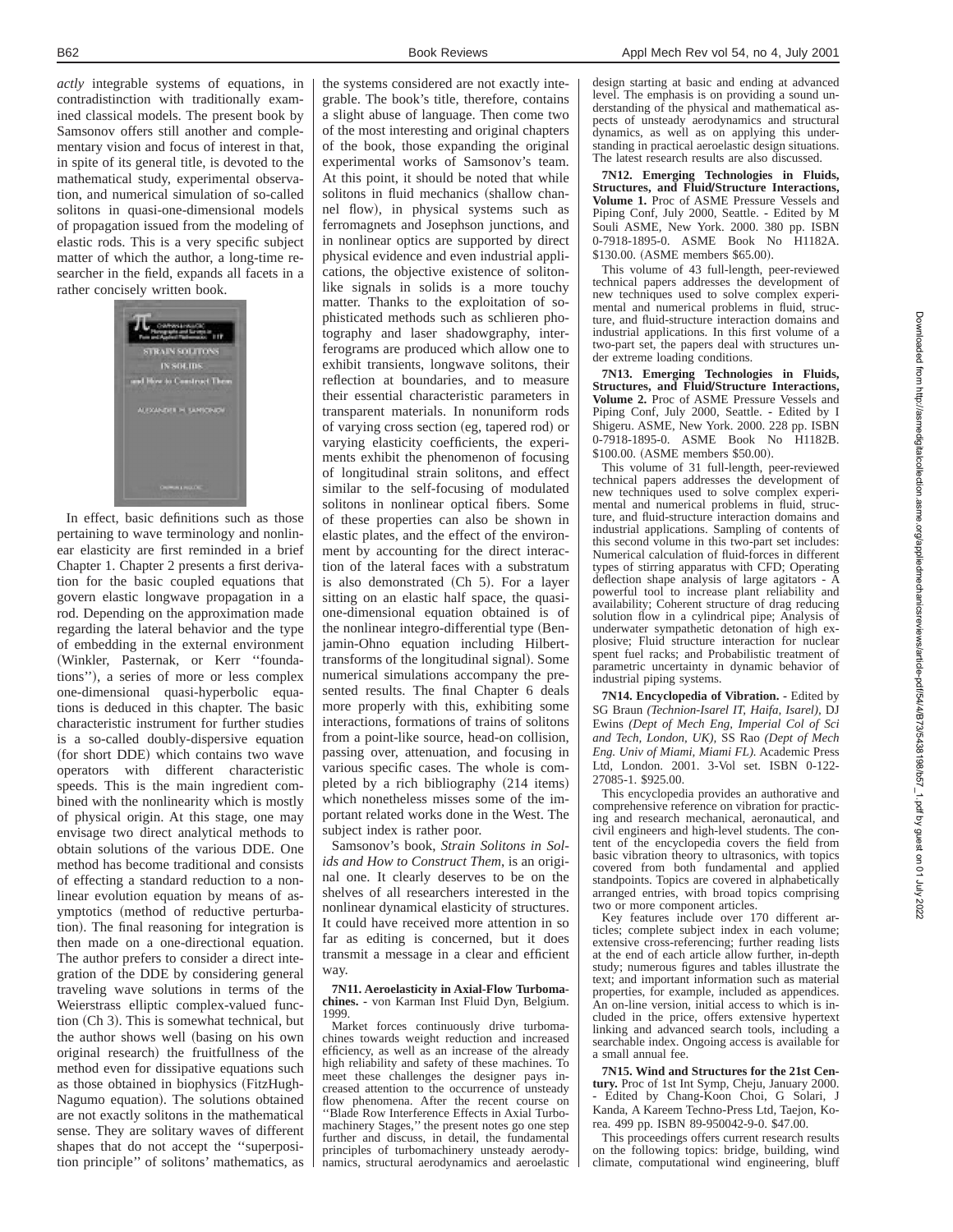*actly* integrable systems of equations, in contradistinction with traditionally examined classical models. The present book by Samsonov offers still another and complementary vision and focus of interest in that, in spite of its general title, is devoted to the mathematical study, experimental observation, and numerical simulation of so-called solitons in quasi-one-dimensional models of propagation issued from the modeling of elastic rods. This is a very specific subject matter of which the author, a long-time researcher in the field, expands all facets in a rather concisely written book.



In effect, basic definitions such as those pertaining to wave terminology and nonlinear elasticity are first reminded in a brief Chapter 1. Chapter 2 presents a first derivation for the basic coupled equations that govern elastic longwave propagation in a rod. Depending on the approximation made regarding the lateral behavior and the type of embedding in the external environment (Winkler, Pasternak, or Kerr "foundations"), a series of more or less complex one-dimensional quasi-hyperbolic equations is deduced in this chapter. The basic characteristic instrument for further studies is a so-called doubly-dispersive equation (for short DDE) which contains two wave operators with different characteristic speeds. This is the main ingredient combined with the nonlinearity which is mostly of physical origin. At this stage, one may envisage two direct analytical methods to obtain solutions of the various DDE. One method has become traditional and consists of effecting a standard reduction to a nonlinear evolution equation by means of asymptotics (method of reductive perturbation). The final reasoning for integration is then made on a one-directional equation. The author prefers to consider a direct integration of the DDE by considering general traveling wave solutions in terms of the Weierstrass elliptic complex-valued func- $~t$ tion  $(Ch 3)$ . This is somewhat technical, but the author shows well (basing on his own original research) the fruitfullness of the method even for dissipative equations such as those obtained in biophysics (FitzHugh-Nagumo equation). The solutions obtained are not exactly solitons in the mathematical sense. They are solitary waves of different shapes that do not accept the ''superposition principle'' of solitons' mathematics, as the systems considered are not exactly integrable. The book's title, therefore, contains a slight abuse of language. Then come two of the most interesting and original chapters of the book, those expanding the original experimental works of Samsonov's team. At this point, it should be noted that while solitons in fluid mechanics (shallow channel flow), in physical systems such as ferromagnets and Josephson junctions, and in nonlinear optics are supported by direct physical evidence and even industrial applications, the objective existence of solitonlike signals in solids is a more touchy matter. Thanks to the exploitation of sophisticated methods such as schlieren photography and laser shadowgraphy, interferograms are produced which allow one to exhibit transients, longwave solitons, their reflection at boundaries, and to measure their essential characteristic parameters in transparent materials. In nonuniform rods of varying cross section (eg, tapered rod) or varying elasticity coefficients, the experiments exhibit the phenomenon of focusing of longitudinal strain solitons, and effect similar to the self-focusing of modulated solitons in nonlinear optical fibers. Some of these properties can also be shown in elastic plates, and the effect of the environment by accounting for the direct interaction of the lateral faces with a substratum is also demonstrated  $(Ch 5)$ . For a layer sitting on an elastic half space, the quasione-dimensional equation obtained is of the nonlinear integro-differential type (Benjamin-Ohno equation including Hilberttransforms of the longitudinal signal). Some numerical simulations accompany the presented results. The final Chapter 6 deals more properly with this, exhibiting some interactions, formations of trains of solitons from a point-like source, head-on collision, passing over, attenuation, and focusing in various specific cases. The whole is completed by a rich bibliography  $(214$  items) which nonetheless misses some of the important related works done in the West. The subject index is rather poor.

Samsonov's book, *Strain Solitons in Solids and How to Construct Them*, is an original one. It clearly deserves to be on the shelves of all researchers interested in the nonlinear dynamical elasticity of structures. It could have received more attention in so far as editing is concerned, but it does transmit a message in a clear and efficient way.

#### **7N11. Aeroelasticity in Axial-Flow Turbomachines. -** von Karman Inst Fluid Dyn, Belgium. 1999.

Market forces continuously drive turbomachines towards weight reduction and increased efficiency, as well as an increase of the already high reliability and safety of these machines. To meet these challenges the designer pays increased attention to the occurrence of unsteady flow phenomena. After the recent course on ''Blade Row Interference Effects in Axial Turbomachinery Stages,'' the present notes go one step further and discuss, in detail, the fundamental principles of turbomachinery unsteady aerodynamics, structural aerodynamics and aeroelastic

design starting at basic and ending at advanced level. The emphasis is on providing a sound understanding of the physical and mathematical aspects of unsteady aerodynamics and structural dynamics, as well as on applying this understanding in practical aeroelastic design situations. The latest research results are also discussed.

**7N12. Emerging Technologies in Fluids, Structures, and FluidÕStructure Interactions, Volume 1.** Proc of ASME Pressure Vessels and Piping Conf, July 2000, Seattle. **-** Edited by M Souli ASME, New York. 2000. 380 pp. ISBN 0-7918-1895-0. ASME Book No H1182A. \$130.00. (ASME members \$65.00).

This volume of 43 full-length, peer-reviewed technical papers addresses the development of new techniques used to solve complex experimental and numerical problems in fluid, structure, and fluid-structure interaction domains and industrial applications. In this first volume of a two-part set, the papers deal with structures under extreme loading conditions.

**7N13. Emerging Technologies in Fluids, Structures, and FluidÕStructure Interactions, Volume 2.** Proc of ASME Pressure Vessels and Piping Conf, July 2000, Seattle. **-** Edited by I Shigeru. ASME, New York. 2000. 228 pp. ISBN 0-7918-1895-0. ASME Book No H1182B. \$100.00. (ASME members \$50.00).

This volume of 31 full-length, peer-reviewed technical papers addresses the development of new techniques used to solve complex experimental and numerical problems in fluid, structure, and fluid-structure interaction domains and industrial applications. Sampling of contents of this second volume in this two-part set includes: Numerical calculation of fluid-forces in different types of stirring apparatus with CFD; Operating deflection shape analysis of large agitators - A powerful tool to increase plant reliability and availability; Coherent structure of drag reducing solution flow in a cylindrical pipe; Analysis of underwater sympathetic detonation of high explosive; Fluid structure interaction for nuclear spent fuel racks; and Probabilistic treatment of parametric uncertainty in dynamic behavior of industrial piping systems.

**7N14. Encyclopedia of Vibration. -** Edited by SG Braun *(Technion-Isarel IT, Haifa, Isarel),* DJ Ewins *(Dept of Mech Eng, Imperial Col of Sci and Tech, London, UK),* SS Rao *(Dept of Mech Eng. Univ of Miami, Miami FL).* Academic Press Ltd, London. 2001. 3-Vol set. ISBN 0-122- 27085-1. \$925.00.

This encyclopedia provides an authorative and comprehensive reference on vibration for practicing and research mechanical, aeronautical, and civil engineers and high-level students. The content of the encyclopedia covers the field from basic vibration theory to ultrasonics, with topics covered from both fundamental and applied standpoints. Topics are covered in alphabetically arranged entries, with broad topics comprising two or more component articles.

Key features include over 170 different articles; complete subject index in each volume; extensive cross-referencing; further reading lists at the end of each article allow further, in-depth study; numerous figures and tables illustrate the text; and important information such as material properties, for example, included as appendices. An on-line version, initial access to which is included in the price, offers extensive hypertext linking and advanced search tools, including a searchable index. Ongoing access is available for a small annual fee.

**7N15. Wind and Structures for the 21st Century.** Proc of 1st Int Symp, Cheju, January 2000. **-** Edited by Chang-Koon Choi, G Solari, J Kanda, A Kareem Techno-Press Ltd, Taejon, Korea. 499 pp. ISBN 89-950042-9-0. \$47.00.

This proceedings offers current research results on the following topics: bridge, building, wind climate, computational wind engineering, bluff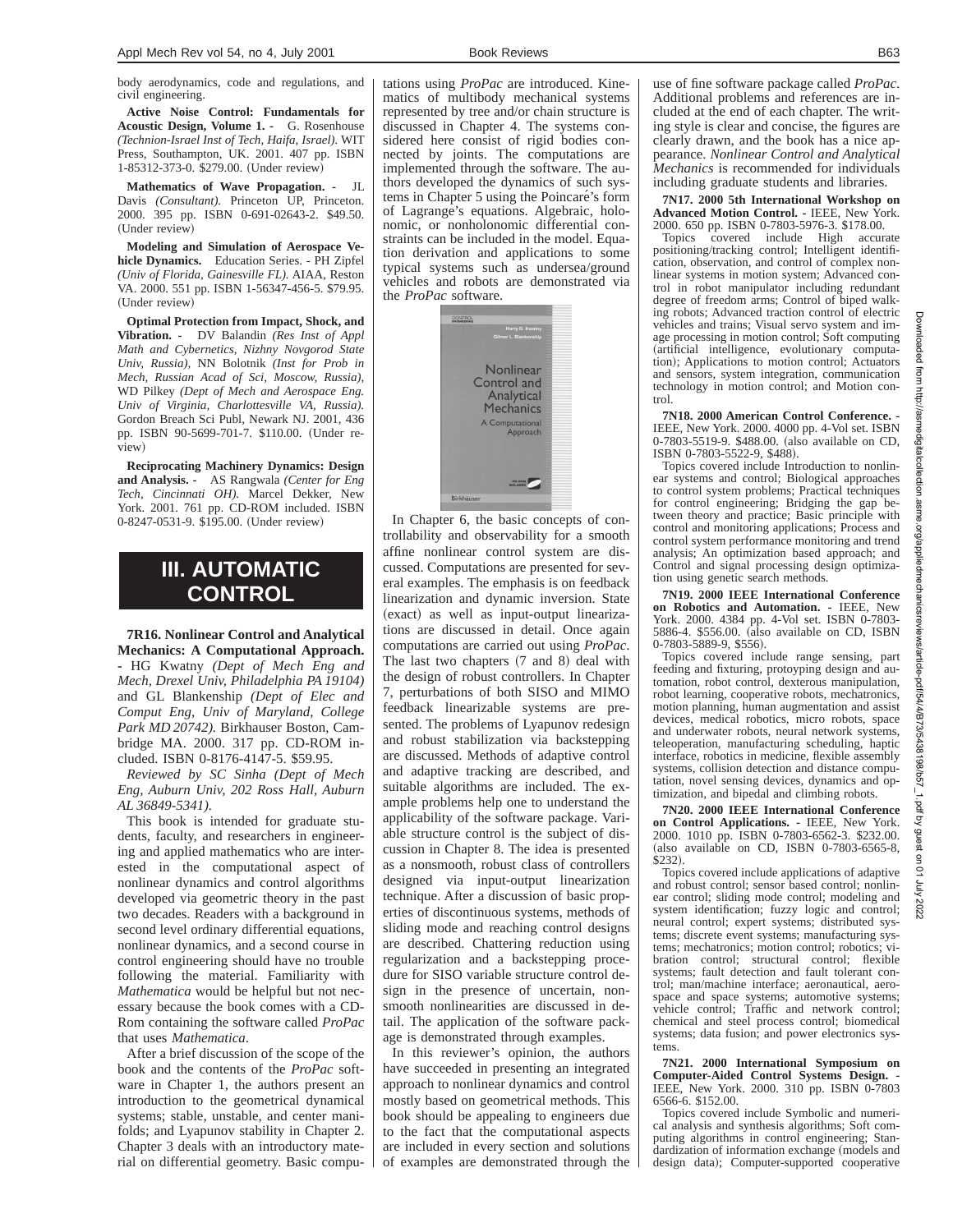body aerodynamics, code and regulations, and civil engineering.

**Active Noise Control: Fundamentals for Acoustic Design, Volume 1. -** G. Rosenhouse *(Technion-Israel Inst of Tech, Haifa, Israel).* WIT Press, Southampton, UK. 2001. 407 pp. ISBN 1-85312-373-0. \$279.00. (Under review)

**Mathematics of Wave Propagation. -** JL Davis *(Consultant).* Princeton UP, Princeton. 2000. 395 pp. ISBN 0-691-02643-2. \$49.50. (Under review)

**Modeling and Simulation of Aerospace Vehicle Dynamics.** Education Series. - PH Zipfel *(Univ of Florida, Gainesville FL).* AIAA, Reston VA. 2000. 551 pp. ISBN 1-56347-456-5. \$79.95. (Under review)

**Optimal Protection from Impact, Shock, and Vibration. -** DV Balandin *(Res Inst of Appl Math and Cybernetics, Nizhny Novgorod State Univ, Russia),* NN Bolotnik *(Inst for Prob in Mech, Russian Acad of Sci, Moscow, Russia),* WD Pilkey *(Dept of Mech and Aerospace Eng. Univ of Virginia, Charlottesville VA, Russia).* Gordon Breach Sci Publ, Newark NJ. 2001, 436 pp. ISBN 90-5699-701-7. \$110.00. (Under review)

**Reciprocating Machinery Dynamics: Design and Analysis. -** AS Rangwala *(Center for Eng Tech, Cincinnati OH).* Marcel Dekker, New York. 2001. 761 pp. CD-ROM included. ISBN 0-8247-0531-9. \$195.00. (Under review)

### **III. AUTOMATIC CONTROL**

**7R16. Nonlinear Control and Analytical Mechanics: A Computational Approach. -** HG Kwatny *(Dept of Mech Eng and Mech, Drexel Univ, Philadelphia PA 19104)* and GL Blankenship *(Dept of Elec and Comput Eng, Univ of Maryland, College Park MD 20742).* Birkhauser Boston, Cambridge MA. 2000. 317 pp. CD-ROM included. ISBN 0-8176-4147-5. \$59.95.

*Reviewed by SC Sinha (Dept of Mech Eng, Auburn Univ, 202 Ross Hall, Auburn AL 36849-5341).*

This book is intended for graduate students, faculty, and researchers in engineering and applied mathematics who are interested in the computational aspect of nonlinear dynamics and control algorithms developed via geometric theory in the past two decades. Readers with a background in second level ordinary differential equations, nonlinear dynamics, and a second course in control engineering should have no trouble following the material. Familiarity with *Mathematica* would be helpful but not necessary because the book comes with a CD-Rom containing the software called *ProPac* that uses *Mathematica*.

After a brief discussion of the scope of the book and the contents of the *ProPac* software in Chapter 1, the authors present an introduction to the geometrical dynamical systems; stable, unstable, and center manifolds; and Lyapunov stability in Chapter 2. Chapter 3 deals with an introductory material on differential geometry. Basic compu-

tations using *ProPac* are introduced. Kinematics of multibody mechanical systems represented by tree and/or chain structure is discussed in Chapter 4. The systems considered here consist of rigid bodies connected by joints. The computations are implemented through the software. The authors developed the dynamics of such systems in Chapter 5 using the Poincaré's form of Lagrange's equations. Algebraic, holonomic, or nonholonomic differential constraints can be included in the model. Equation derivation and applications to some typical systems such as undersea/ground vehicles and robots are demonstrated via the *ProPac* software.



In Chapter 6, the basic concepts of controllability and observability for a smooth affine nonlinear control system are discussed. Computations are presented for several examples. The emphasis is on feedback linearization and dynamic inversion. State (exact) as well as input-output linearizations are discussed in detail. Once again computations are carried out using *ProPac*. The last two chapters  $(7 \text{ and } 8)$  deal with the design of robust controllers. In Chapter 7, perturbations of both SISO and MIMO feedback linearizable systems are presented. The problems of Lyapunov redesign and robust stabilization via backstepping are discussed. Methods of adaptive control and adaptive tracking are described, and suitable algorithms are included. The example problems help one to understand the applicability of the software package. Variable structure control is the subject of discussion in Chapter 8. The idea is presented as a nonsmooth, robust class of controllers designed via input-output linearization technique. After a discussion of basic properties of discontinuous systems, methods of sliding mode and reaching control designs are described. Chattering reduction using regularization and a backstepping procedure for SISO variable structure control design in the presence of uncertain, nonsmooth nonlinearities are discussed in detail. The application of the software package is demonstrated through examples.

In this reviewer's opinion, the authors have succeeded in presenting an integrated approach to nonlinear dynamics and control mostly based on geometrical methods. This book should be appealing to engineers due to the fact that the computational aspects are included in every section and solutions of examples are demonstrated through the

use of fine software package called *ProPac*. Additional problems and references are included at the end of each chapter. The writing style is clear and concise, the figures are clearly drawn, and the book has a nice appearance. *Nonlinear Control and Analytical Mechanics* is recommended for individuals including graduate students and libraries.

**7N17. 2000 5th International Workshop on Advanced Motion Control. -** IEEE, New York.

2000. 650 pp. ISBN 0-7803-5976-3. \$178.00. Topics covered include High accurate positioning/tracking control; Intelligent identification, observation, and control of complex nonlinear systems in motion system; Advanced control in robot manipulator including redundant degree of freedom arms; Control of biped walking robots; Advanced traction control of electric vehicles and trains; Visual servo system and image processing in motion control; Soft computing (artificial intelligence, evolutionary computation); Applications to motion control; Actuators and sensors, system integration, communication technology in motion control; and Motion control.

**7N18. 2000 American Control Conference. -** IEEE, New York. 2000. 4000 pp. 4-Vol set. ISBN 0-7803-5519-9. \$488.00. (also available on CD,<br>ISBN 0-7803-5522-9, \$488).

Topics covered include Introduction to nonlinear systems and control; Biological approaches to control system problems; Practical techniques for control engineering; Bridging the gap between theory and practice; Basic principle with control and monitoring applications; Process and control system performance monitoring and trend analysis; An optimization based approach; and Control and signal processing design optimization using genetic search methods.

**7N19. 2000 IEEE International Conference on Robotics and Automation. -** IEEE, New York. 2000. 4384 pp. 4-Vol set. ISBN 0-7803-<br>5886-4. \$556.00. (also available on CD, ISBN 0-7803-5889-9, \$556!.

Topics covered include range sensing, part feeding and fixturing, protoyping design and automation, robot control, dexterous manipulation, robot learning, cooperative robots, mechatronics, motion planning, human augmentation and assist devices, medical robotics, micro robots, space and underwater robots, neural network systems, teleoperation, manufacturing scheduling, haptic interface, robotics in medicine, flexible assembly systems, collision detection and distance computation, novel sensing devices, dynamics and optimization, and bipedal and climbing robots.

**7N20. 2000 IEEE International Conference on Control Applications. -** IEEE, New York. 2000. 1010 pp. ISBN 0-7803-6562-3. \$232.00. (also available on CD, ISBN 0-7803-6565-8, \$232).

Topics covered include applications of adaptive and robust control; sensor based control; nonlinear control; sliding mode control; modeling and system identification; fuzzy logic and control; neural control; expert systems; distributed systems; discrete event systems; manufacturing systems; mechatronics; motion control; robotics; vibration control; structural control; flexible systems; fault detection and fault tolerant control; man/machine interface; aeronautical, aerospace and space systems; automotive systems; vehicle control; Traffic and network control; chemical and steel process control; biomedical systems; data fusion; and power electronics systems.

**7N21. 2000 International Symposium on Computer-Aided Control Systems Design. -** IEEE, New York. 2000. 310 pp. ISBN 0-7803 6566-6. \$152.00.

Topics covered include Symbolic and numerical analysis and synthesis algorithms; Soft computing algorithms in control engineering; Standardization of information exchange (models and design data); Computer-supported cooperative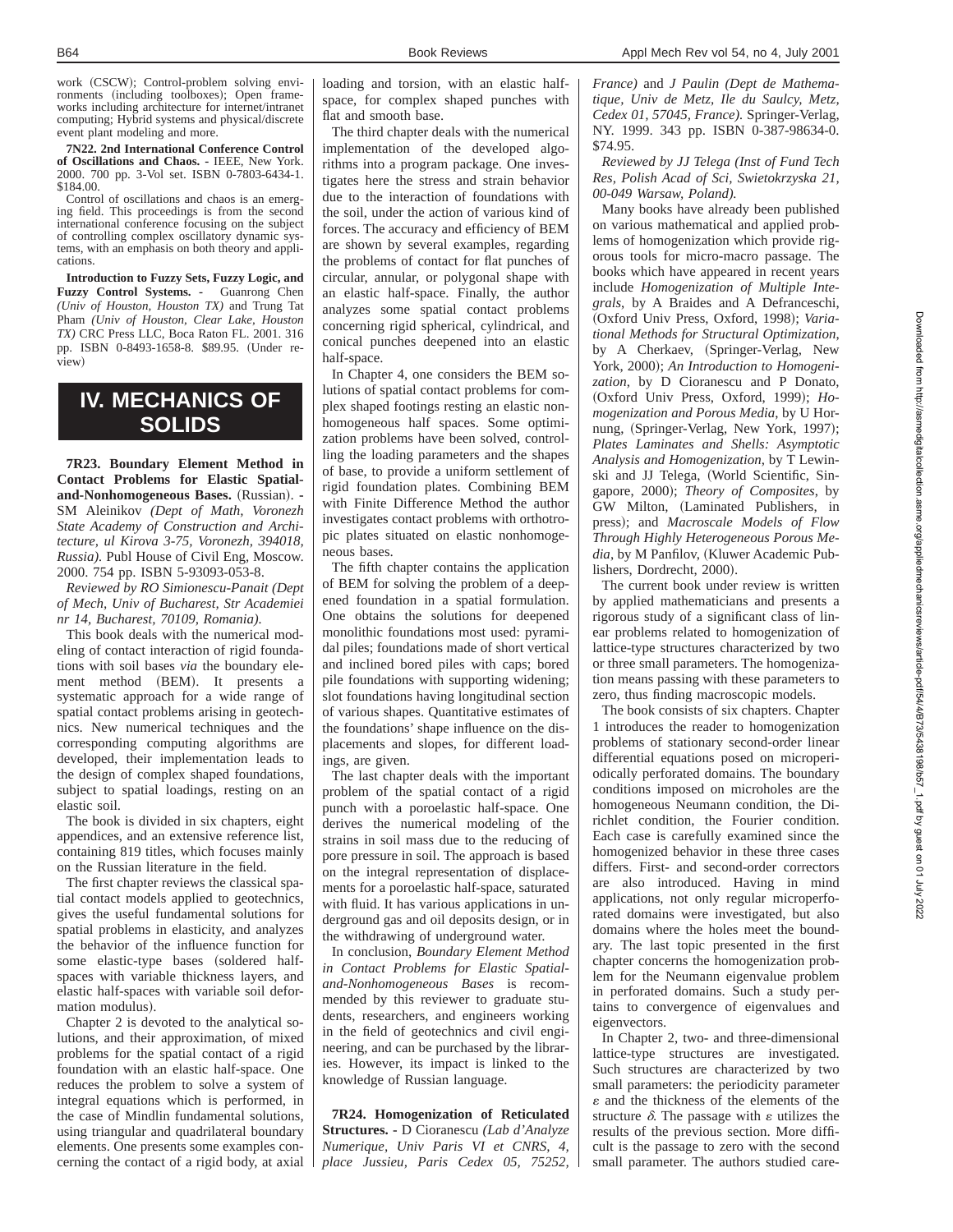work (CSCW); Control-problem solving environments (including toolboxes); Open frameworks including architecture for internet/intranet computing; Hybrid systems and physical/discrete event plant modeling and more.

**7N22. 2nd International Conference Control of Oscillations and Chaos. -** IEEE, New York. 2000. 700 pp. 3-Vol set. ISBN 0-7803-6434-1. \$184.00.

Control of oscillations and chaos is an emerging field. This proceedings is from the second international conference focusing on the subject of controlling complex oscillatory dynamic systems, with an emphasis on both theory and applications.

**Introduction to Fuzzy Sets, Fuzzy Logic, and Fuzzy Control Systems. -** Guanrong Chen *(Univ of Houston, Houston TX)* and Trung Tat Pham *(Univ of Houston, Clear Lake, Houston TX)* CRC Press LLC, Boca Raton FL. 2001. 316 pp. ISBN 0-8493-1658-8. \$89.95. (Under review)

### **IV. MECHANICS OF SOLIDS**

**7R23. Boundary Element Method in Contact Problems for Elastic Spatial**and-Nonhomogeneous Bases. (Russian). -SM Aleinikov *(Dept of Math, Voronezh State Academy of Construction and Architecture, ul Kirova 3-75, Voronezh, 394018, Russia).* Publ House of Civil Eng, Moscow. 2000. 754 pp. ISBN 5-93093-053-8.

*Reviewed by RO Simionescu-Panait (Dept of Mech, Univ of Bucharest, Str Academiei nr 14, Bucharest, 70109, Romania).*

This book deals with the numerical modeling of contact interaction of rigid foundations with soil bases *via* the boundary element method (BEM). It presents a systematic approach for a wide range of spatial contact problems arising in geotechnics. New numerical techniques and the corresponding computing algorithms are developed, their implementation leads to the design of complex shaped foundations, subject to spatial loadings, resting on an elastic soil.

The book is divided in six chapters, eight appendices, and an extensive reference list, containing 819 titles, which focuses mainly on the Russian literature in the field.

The first chapter reviews the classical spatial contact models applied to geotechnics, gives the useful fundamental solutions for spatial problems in elasticity, and analyzes the behavior of the influence function for some elastic-type bases (soldered halfspaces with variable thickness layers, and elastic half-spaces with variable soil deformation modulus).

Chapter 2 is devoted to the analytical solutions, and their approximation, of mixed problems for the spatial contact of a rigid foundation with an elastic half-space. One reduces the problem to solve a system of integral equations which is performed, in the case of Mindlin fundamental solutions, using triangular and quadrilateral boundary elements. One presents some examples concerning the contact of a rigid body, at axial loading and torsion, with an elastic halfspace, for complex shaped punches with flat and smooth base.

The third chapter deals with the numerical implementation of the developed algorithms into a program package. One investigates here the stress and strain behavior due to the interaction of foundations with the soil, under the action of various kind of forces. The accuracy and efficiency of BEM are shown by several examples, regarding the problems of contact for flat punches of circular, annular, or polygonal shape with an elastic half-space. Finally, the author analyzes some spatial contact problems concerning rigid spherical, cylindrical, and conical punches deepened into an elastic half-space.

In Chapter 4, one considers the BEM solutions of spatial contact problems for complex shaped footings resting an elastic nonhomogeneous half spaces. Some optimization problems have been solved, controlling the loading parameters and the shapes of base, to provide a uniform settlement of rigid foundation plates. Combining BEM with Finite Difference Method the author investigates contact problems with orthotropic plates situated on elastic nonhomogeneous bases.

The fifth chapter contains the application of BEM for solving the problem of a deepened foundation in a spatial formulation. One obtains the solutions for deepened monolithic foundations most used: pyramidal piles; foundations made of short vertical and inclined bored piles with caps; bored pile foundations with supporting widening; slot foundations having longitudinal section of various shapes. Quantitative estimates of the foundations' shape influence on the displacements and slopes, for different loadings, are given.

The last chapter deals with the important problem of the spatial contact of a rigid punch with a poroelastic half-space. One derives the numerical modeling of the strains in soil mass due to the reducing of pore pressure in soil. The approach is based on the integral representation of displacements for a poroelastic half-space, saturated with fluid. It has various applications in underground gas and oil deposits design, or in the withdrawing of underground water.

In conclusion, *Boundary Element Method in Contact Problems for Elastic Spatialand-Nonhomogeneous Bases* is recommended by this reviewer to graduate students, researchers, and engineers working in the field of geotechnics and civil engineering, and can be purchased by the libraries. However, its impact is linked to the knowledge of Russian language.

**7R24. Homogenization of Reticulated Structures. -** D Cioranescu *(Lab d'Analyze Numerique, Univ Paris VI et CNRS, 4, place Jussieu, Paris Cedex 05, 75252,*

*France)* and *J Paulin (Dept de Mathematique, Univ de Metz, Ile du Saulcy, Metz, Cedex 01, 57045, France).* Springer-Verlag, NY. 1999. 343 pp. ISBN 0-387-98634-0. \$74.95.

*Reviewed by JJ Telega (Inst of Fund Tech Res, Polish Acad of Sci, Swietokrzyska 21, 00-049 Warsaw, Poland).*

Many books have already been published on various mathematical and applied problems of homogenization which provide rigorous tools for micro-macro passage. The books which have appeared in recent years include *Homogenization of Multiple Integrals*, by A Braides and A Defranceschi, (Oxford Univ Press, Oxford, 1998); *Variational Methods for Structural Optimization*, by A Cherkaev, (Springer-Verlag, New York, 2000); An Introduction to Homogeni*zation*, by D Cioranescu and P Donato, ~Oxford Univ Press, Oxford, 1999!; *Homogenization and Porous Media*, by U Hornung, (Springer-Verlag, New York, 1997); *Plates Laminates and Shells: Asymptotic Analysis and Homogenization*, by T Lewinski and JJ Telega, (World Scientific, Singapore, 2000!; *Theory of Composites*, by GW Milton, (Laminated Publishers, in press); and *Macroscale Models of Flow Through Highly Heterogeneous Porous Me*dia, by M Panfilov, (Kluwer Academic Publishers, Dordrecht, 2000).

The current book under review is written by applied mathematicians and presents a rigorous study of a significant class of linear problems related to homogenization of lattice-type structures characterized by two or three small parameters. The homogenization means passing with these parameters to zero, thus finding macroscopic models.

The book consists of six chapters. Chapter 1 introduces the reader to homogenization problems of stationary second-order linear differential equations posed on microperiodically perforated domains. The boundary conditions imposed on microholes are the homogeneous Neumann condition, the Dirichlet condition, the Fourier condition. Each case is carefully examined since the homogenized behavior in these three cases differs. First- and second-order correctors are also introduced. Having in mind applications, not only regular microperforated domains were investigated, but also domains where the holes meet the boundary. The last topic presented in the first chapter concerns the homogenization problem for the Neumann eigenvalue problem in perforated domains. Such a study pertains to convergence of eigenvalues and eigenvectors.

In Chapter 2, two- and three-dimensional lattice-type structures are investigated. Such structures are characterized by two small parameters: the periodicity parameter  $\varepsilon$  and the thickness of the elements of the structure  $\delta$ . The passage with  $\varepsilon$  utilizes the results of the previous section. More difficult is the passage to zero with the second small parameter. The authors studied care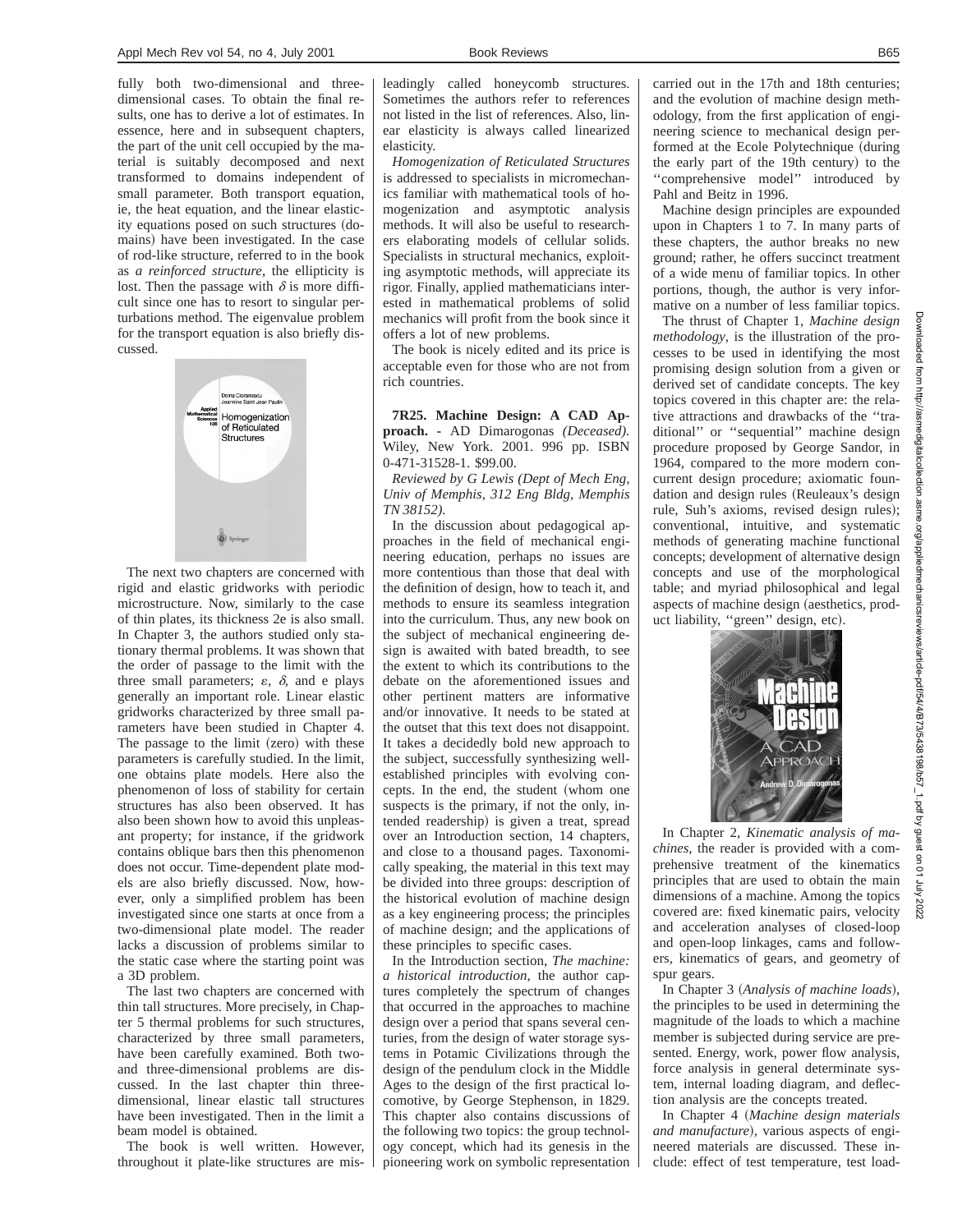fully both two-dimensional and threedimensional cases. To obtain the final results, one has to derive a lot of estimates. In essence, here and in subsequent chapters, the part of the unit cell occupied by the material is suitably decomposed and next transformed to domains independent of small parameter. Both transport equation, ie, the heat equation, and the linear elasticity equations posed on such structures (domains) have been investigated. In the case of rod-like structure, referred to in the book as *a reinforced structure*, the ellipticity is lost. Then the passage with  $\delta$  is more difficult since one has to resort to singular perturbations method. The eigenvalue problem for the transport equation is also briefly discussed.



The next two chapters are concerned with rigid and elastic gridworks with periodic microstructure. Now, similarly to the case of thin plates, its thickness 2e is also small. In Chapter 3, the authors studied only stationary thermal problems. It was shown that the order of passage to the limit with the three small parameters;  $\varepsilon$ ,  $\delta$ , and e plays generally an important role. Linear elastic gridworks characterized by three small parameters have been studied in Chapter 4. The passage to the limit (zero) with these parameters is carefully studied. In the limit, one obtains plate models. Here also the phenomenon of loss of stability for certain structures has also been observed. It has also been shown how to avoid this unpleasant property; for instance, if the gridwork contains oblique bars then this phenomenon does not occur. Time-dependent plate models are also briefly discussed. Now, however, only a simplified problem has been investigated since one starts at once from a two-dimensional plate model. The reader lacks a discussion of problems similar to the static case where the starting point was a 3D problem.

The last two chapters are concerned with thin tall structures. More precisely, in Chapter 5 thermal problems for such structures, characterized by three small parameters, have been carefully examined. Both twoand three-dimensional problems are discussed. In the last chapter thin threedimensional, linear elastic tall structures have been investigated. Then in the limit a beam model is obtained.

The book is well written. However, throughout it plate-like structures are misleadingly called honeycomb structures. Sometimes the authors refer to references not listed in the list of references. Also, linear elasticity is always called linearized elasticity.

*Homogenization of Reticulated Structures* is addressed to specialists in micromechanics familiar with mathematical tools of homogenization and asymptotic analysis methods. It will also be useful to researchers elaborating models of cellular solids. Specialists in structural mechanics, exploiting asymptotic methods, will appreciate its rigor. Finally, applied mathematicians interested in mathematical problems of solid mechanics will profit from the book since it offers a lot of new problems.

The book is nicely edited and its price is acceptable even for those who are not from rich countries.

**7R25. Machine Design: A CAD Approach. -** AD Dimarogonas *(Deceased).* Wiley, New York. 2001. 996 pp. ISBN 0-471-31528-1. \$99.00.

*Reviewed by G Lewis (Dept of Mech Eng, Univ of Memphis, 312 Eng Bldg, Memphis TN 38152).*

In the discussion about pedagogical approaches in the field of mechanical engineering education, perhaps no issues are more contentious than those that deal with the definition of design, how to teach it, and methods to ensure its seamless integration into the curriculum. Thus, any new book on the subject of mechanical engineering design is awaited with bated breadth, to see the extent to which its contributions to the debate on the aforementioned issues and other pertinent matters are informative and/or innovative. It needs to be stated at the outset that this text does not disappoint. It takes a decidedly bold new approach to the subject, successfully synthesizing wellestablished principles with evolving concepts. In the end, the student (whom one suspects is the primary, if not the only, intended readership) is given a treat, spread over an Introduction section, 14 chapters, and close to a thousand pages. Taxonomically speaking, the material in this text may be divided into three groups: description of the historical evolution of machine design as a key engineering process; the principles of machine design; and the applications of these principles to specific cases.

In the Introduction section, *The machine: a historical introduction*, the author captures completely the spectrum of changes that occurred in the approaches to machine design over a period that spans several centuries, from the design of water storage systems in Potamic Civilizations through the design of the pendulum clock in the Middle Ages to the design of the first practical locomotive, by George Stephenson, in 1829. This chapter also contains discussions of the following two topics: the group technology concept, which had its genesis in the pioneering work on symbolic representation

carried out in the 17th and 18th centuries; and the evolution of machine design methodology, from the first application of engineering science to mechanical design performed at the Ecole Polytechnique (during the early part of the 19th century) to the ''comprehensive model'' introduced by Pahl and Beitz in 1996.

Machine design principles are expounded upon in Chapters 1 to 7. In many parts of these chapters, the author breaks no new ground; rather, he offers succinct treatment of a wide menu of familiar topics. In other portions, though, the author is very informative on a number of less familiar topics.

The thrust of Chapter 1, *Machine design methodology*, is the illustration of the processes to be used in identifying the most promising design solution from a given or derived set of candidate concepts. The key topics covered in this chapter are: the relative attractions and drawbacks of the ''traditional'' or ''sequential'' machine design procedure proposed by George Sandor, in 1964, compared to the more modern concurrent design procedure; axiomatic foundation and design rules (Reuleaux's design rule, Suh's axioms, revised design rules); conventional, intuitive, and systematic methods of generating machine functional concepts; development of alternative design concepts and use of the morphological table; and myriad philosophical and legal aspects of machine design (aesthetics, product liability, "green" design, etc).



In Chapter 2, *Kinematic analysis of machines*, the reader is provided with a comprehensive treatment of the kinematics principles that are used to obtain the main dimensions of a machine. Among the topics covered are: fixed kinematic pairs, velocity and acceleration analyses of closed-loop and open-loop linkages, cams and followers, kinematics of gears, and geometry of spur gears.

In Chapter 3 (Analysis of machine loads), the principles to be used in determining the magnitude of the loads to which a machine member is subjected during service are presented. Energy, work, power flow analysis, force analysis in general determinate system, internal loading diagram, and deflection analysis are the concepts treated.

In Chapter 4 (*Machine design materials and manufacture*), various aspects of engineered materials are discussed. These include: effect of test temperature, test load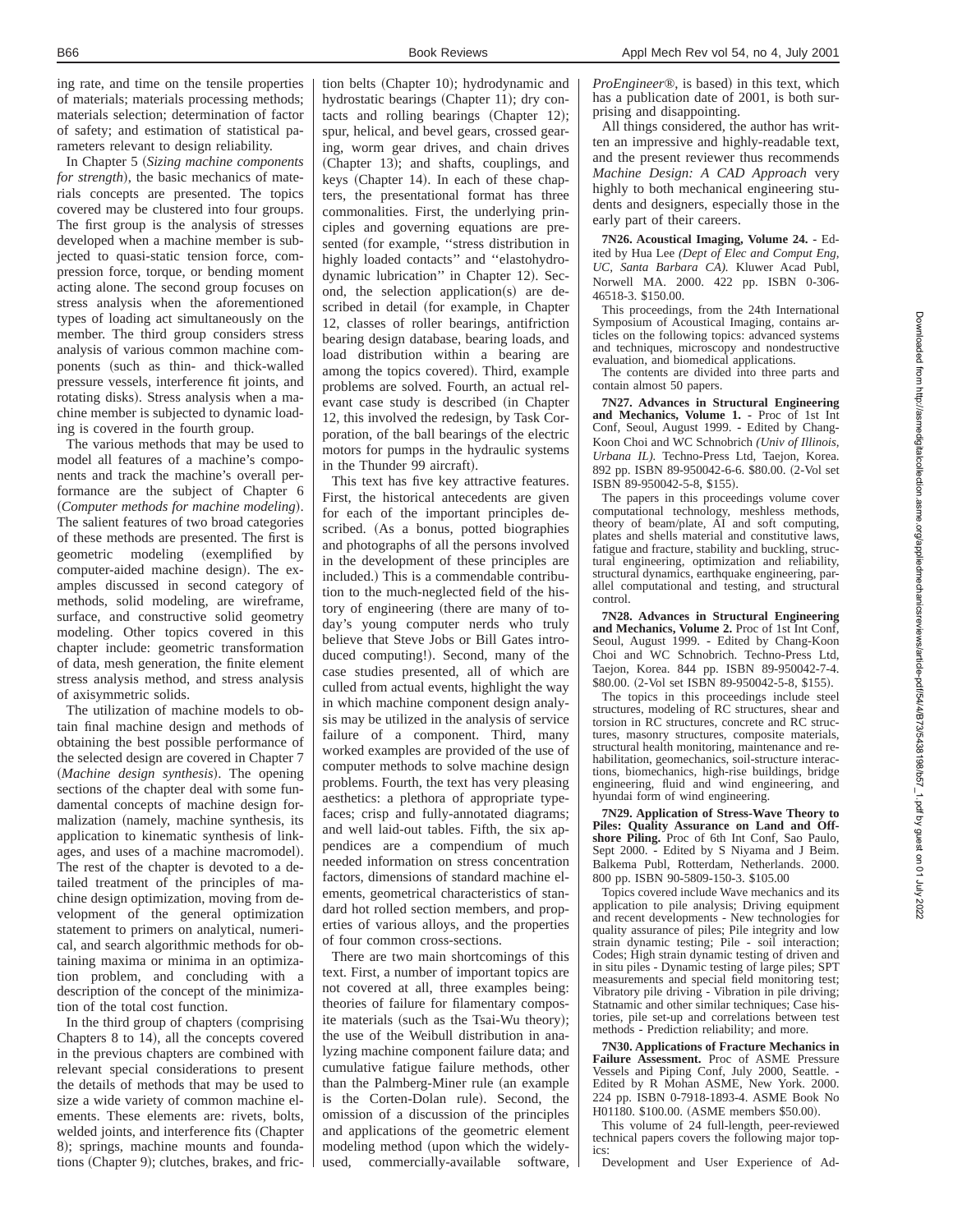ing rate, and time on the tensile properties of materials; materials processing methods; materials selection; determination of factor of safety; and estimation of statistical parameters relevant to design reliability.

In Chapter 5 (Sizing machine components *for strength*), the basic mechanics of materials concepts are presented. The topics covered may be clustered into four groups. The first group is the analysis of stresses developed when a machine member is subjected to quasi-static tension force, compression force, torque, or bending moment acting alone. The second group focuses on stress analysis when the aforementioned types of loading act simultaneously on the member. The third group considers stress analysis of various common machine components (such as thin- and thick-walled pressure vessels, interference fit joints, and rotating disks). Stress analysis when a machine member is subjected to dynamic loading is covered in the fourth group.

The various methods that may be used to model all features of a machine's components and track the machine's overall performance are the subject of Chapter 6 ~*Computer methods for machine modeling*!. The salient features of two broad categories of these methods are presented. The first is geometric modeling (exemplified by computer-aided machine design). The examples discussed in second category of methods, solid modeling, are wireframe, surface, and constructive solid geometry modeling. Other topics covered in this chapter include: geometric transformation of data, mesh generation, the finite element stress analysis method, and stress analysis of axisymmetric solids.

The utilization of machine models to obtain final machine design and methods of obtaining the best possible performance of the selected design are covered in Chapter 7 ~*Machine design synthesis*!. The opening sections of the chapter deal with some fundamental concepts of machine design formalization (namely, machine synthesis, its application to kinematic synthesis of linkages, and uses of a machine macromodel). The rest of the chapter is devoted to a detailed treatment of the principles of machine design optimization, moving from development of the general optimization statement to primers on analytical, numerical, and search algorithmic methods for obtaining maxima or minima in an optimization problem, and concluding with a description of the concept of the minimization of the total cost function.

In the third group of chapters (comprising Chapters 8 to 14), all the concepts covered in the previous chapters are combined with relevant special considerations to present the details of methods that may be used to size a wide variety of common machine elements. These elements are: rivets, bolts, welded joints, and interference fits (Chapter 8); springs, machine mounts and foundations (Chapter 9); clutches, brakes, and friction belts (Chapter 10); hydrodynamic and hydrostatic bearings (Chapter 11); dry contacts and rolling bearings  $(Chapter 12);$ spur, helical, and bevel gears, crossed gearing, worm gear drives, and chain drives (Chapter 13); and shafts, couplings, and keys (Chapter 14). In each of these chapters, the presentational format has three commonalities. First, the underlying principles and governing equations are presented (for example, "stress distribution in highly loaded contacts'' and ''elastohydrodynamic lubrication" in Chapter 12). Second, the selection application $(s)$  are described in detail (for example, in Chapter 12, classes of roller bearings, antifriction bearing design database, bearing loads, and load distribution within a bearing are among the topics covered). Third, example problems are solved. Fourth, an actual relevant case study is described (in Chapter 12, this involved the redesign, by Task Corporation, of the ball bearings of the electric motors for pumps in the hydraulic systems in the Thunder 99 aircraft).

This text has five key attractive features. First, the historical antecedents are given for each of the important principles described. (As a bonus, potted biographies and photographs of all the persons involved in the development of these principles are included.) This is a commendable contribution to the much-neglected field of the history of engineering (there are many of today's young computer nerds who truly believe that Steve Jobs or Bill Gates introduced computing!). Second, many of the case studies presented, all of which are culled from actual events, highlight the way in which machine component design analysis may be utilized in the analysis of service failure of a component. Third, many worked examples are provided of the use of computer methods to solve machine design problems. Fourth, the text has very pleasing aesthetics: a plethora of appropriate typefaces; crisp and fully-annotated diagrams; and well laid-out tables. Fifth, the six appendices are a compendium of much needed information on stress concentration factors, dimensions of standard machine elements, geometrical characteristics of standard hot rolled section members, and properties of various alloys, and the properties of four common cross-sections.

There are two main shortcomings of this text. First, a number of important topics are not covered at all, three examples being: theories of failure for filamentary composite materials (such as the Tsai-Wu theory); the use of the Weibull distribution in analyzing machine component failure data; and cumulative fatigue failure methods, other than the Palmberg-Miner rule (an example is the Corten-Dolan rule). Second, the omission of a discussion of the principles and applications of the geometric element modeling method (upon which the widelyused, commercially-available software,

*ProEngineer®*, is based) in this text, which has a publication date of 2001, is both surprising and disappointing.

All things considered, the author has written an impressive and highly-readable text, and the present reviewer thus recommends *Machine Design: A CAD Approach* very highly to both mechanical engineering students and designers, especially those in the early part of their careers.

**7N26. Acoustical Imaging, Volume 24. -** Edited by Hua Lee *(Dept of Elec and Comput Eng, UC, Santa Barbara CA).* Kluwer Acad Publ, Norwell MA. 2000. 422 pp. ISBN 0-306- 46518-3. \$150.00.

This proceedings, from the 24th International Symposium of Acoustical Imaging, contains articles on the following topics: advanced systems and techniques, microscopy and nondestructive evaluation, and biomedical applications.

The contents are divided into three parts and contain almost 50 papers.

**7N27. Advances in Structural Engineering and Mechanics, Volume 1. -** Proc of 1st Int Conf, Seoul, August 1999. **-** Edited by Chang-Koon Choi and WC Schnobrich *(Univ of Illinois, Urbana IL).* Techno-Press Ltd, Taejon, Korea. 892 pp. ISBN 89-950042-6-6. \$80.00. (2-Vol set ISBN 89-950042-5-8, \$155).

The papers in this proceedings volume cover computational technology, meshless methods, theory of beam/plate, AI and soft computing, plates and shells material and constitutive laws, fatigue and fracture, stability and buckling, structural engineering, optimization and reliability, structural dynamics, earthquake engineering, parallel computational and testing, and structural control.

**7N28. Advances in Structural Engineering and Mechanics, Volume 2.** Proc of 1st Int Conf, Seoul, August 1999. **-** Edited by Chang-Koon Choi and WC Schnobrich. Techno-Press Ltd, Taejon, Korea. 844 pp. ISBN 89-950042-7-4.  $$80.00.$   $(2-Vol set ISBN 89-950042-5-8, $155)$ .

The topics in this proceedings include steel structures, modeling of RC structures, shear and torsion in RC structures, concrete and RC structures, masonry structures, composite materials, structural health monitoring, maintenance and rehabilitation, geomechanics, soil-structure interactions, biomechanics, high-rise buildings, bridge engineering, fluid and wind engineering, and hyundai form of wind engineering.

**7N29. Application of Stress-Wave Theory to Piles: Quality Assurance on Land and Offshore Piling.** Proc of 6th Int Conf, Sao Paulo, Sept 2000. **-** Edited by S Niyama and J Beim. Balkema Publ, Rotterdam, Netherlands. 2000. 800 pp. ISBN 90-5809-150-3. \$105.00

Topics covered include Wave mechanics and its application to pile analysis; Driving equipment and recent developments - New technologies for quality assurance of piles; Pile integrity and low strain dynamic testing; Pile - soil interaction; Codes; High strain dynamic testing of driven and in situ piles - Dynamic testing of large piles; SPT measurements and special field monitoring test; Vibratory pile driving - Vibration in pile driving; Statnamic and other similar techniques; Case histories, pile set-up and correlations between test methods - Prediction reliability; and more.

**7N30. Applications of Fracture Mechanics in Failure Assessment.** Proc of ASME Pressure Vessels and Piping Conf, July 2000, Seattle. **-** Edited by R Mohan ASME, New York. 2000. 224 pp. ISBN 0-7918-1893-4. ASME Book No H01180. \$100.00. (ASME members \$50.00).

This volume of 24 full-length, peer-reviewed technical papers covers the following major topics:

Development and User Experience of Ad-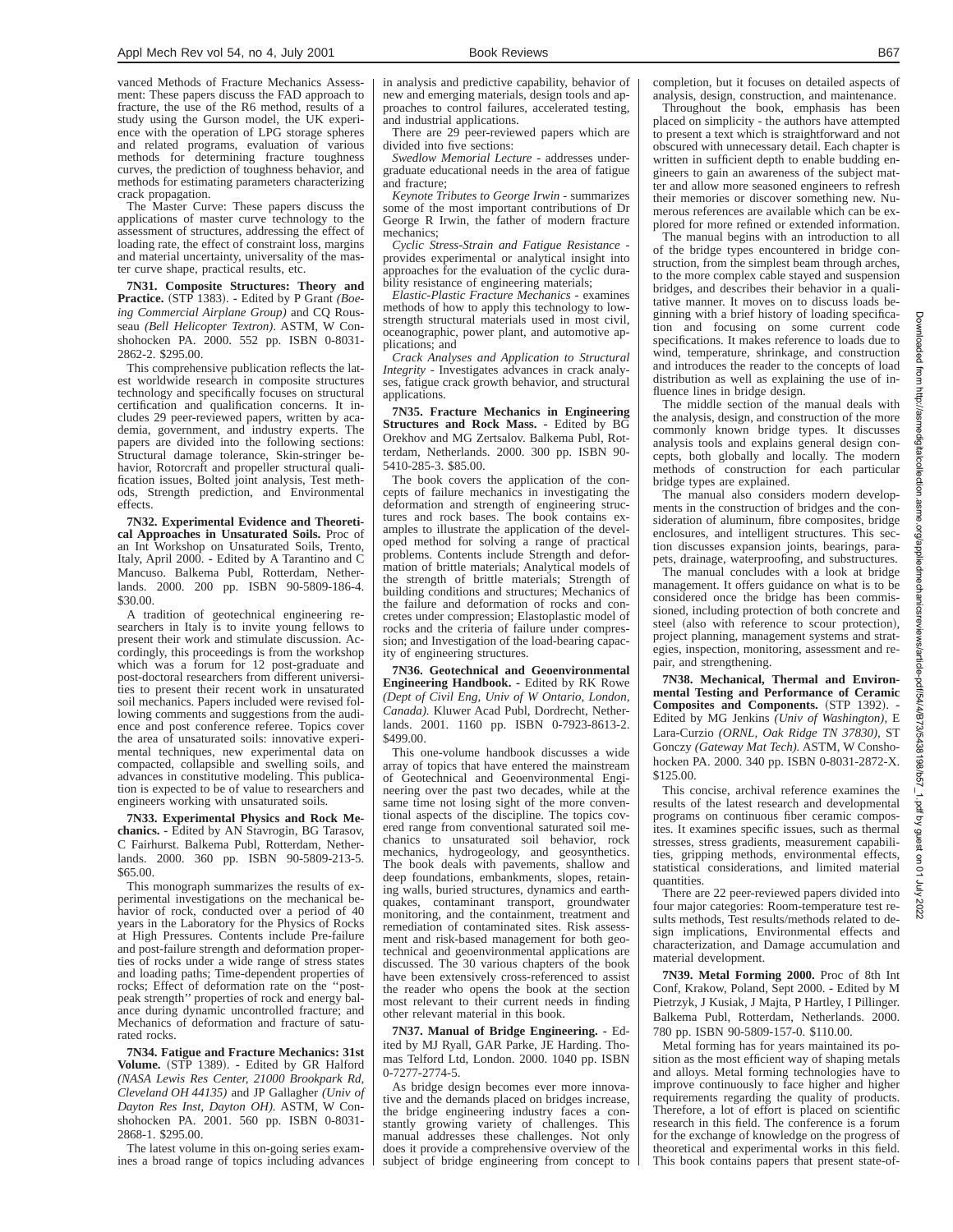vanced Methods of Fracture Mechanics Assessment: These papers discuss the FAD approach to fracture, the use of the R6 method, results of a study using the Gurson model, the UK experience with the operation of LPG storage spheres and related programs, evaluation of various methods for determining fracture toughness curves, the prediction of toughness behavior, and methods for estimating parameters characterizing crack propagation.

The Master Curve: These papers discuss the applications of master curve technology to the assessment of structures, addressing the effect of loading rate, the effect of constraint loss, margins and material uncertainty, universality of the master curve shape, practical results, etc.

**7N31. Composite Structures: Theory and** Practice. (STP 1383). - Edited by P Grant *(Boeing Commercial Airplane Group)* and CQ Rousseau *(Bell Helicopter Textron)*. ASTM, W Conshohocken PA. 2000. 552 pp. ISBN 0-8031- 2862-2. \$295.00.

This comprehensive publication reflects the latest worldwide research in composite structures technology and specifically focuses on structural certification and qualification concerns. It includes 29 peer-reviewed papers, written by academia, government, and industry experts. The papers are divided into the following sections: Structural damage tolerance, Skin-stringer behavior, Rotorcraft and propeller structural qualification issues, Bolted joint analysis, Test methods, Strength prediction, and Environmental effects.

**7N32. Experimental Evidence and Theoretical Approaches in Unsaturated Soils.** Proc of an Int Workshop on Unsaturated Soils, Trento, Italy, April 2000. **-** Edited by A Tarantino and C Mancuso. Balkema Publ, Rotterdam, Netherlands. 2000. 200 pp. ISBN 90-5809-186-4. \$30.00.

A tradition of geotechnical engineering researchers in Italy is to invite young fellows to present their work and stimulate discussion. Accordingly, this proceedings is from the workshop which was a forum for 12 post-graduate and post-doctoral researchers from different universities to present their recent work in unsaturated soil mechanics. Papers included were revised following comments and suggestions from the audience and post conference referee. Topics cover the area of unsaturated soils: innovative experimental techniques, new experimental data on compacted, collapsible and swelling soils, and advances in constitutive modeling. This publication is expected to be of value to researchers and engineers working with unsaturated soils.

**7N33. Experimental Physics and Rock Mechanics. -** Edited by AN Stavrogin, BG Tarasov, C Fairhurst. Balkema Publ, Rotterdam, Netherlands. 2000. 360 pp. ISBN 90-5809-213-5. \$65.00.

This monograph summarizes the results of experimental investigations on the mechanical behavior of rock, conducted over a period of 40 years in the Laboratory for the Physics of Rocks at High Pressures. Contents include Pre-failure and post-failure strength and deformation properties of rocks under a wide range of stress states and loading paths; Time-dependent properties of rocks; Effect of deformation rate on the ''postpeak strength'' properties of rock and energy balance during dynamic uncontrolled fracture; and Mechanics of deformation and fracture of saturated rocks.

**7N34. Fatigue and Fracture Mechanics: 31st Volume.** (STP 1389). - Edited by GR Halford *(NASA Lewis Res Center, 21000 Brookpark Rd, Cleveland OH 44135)* and JP Gallagher *(Univ of Dayton Res Inst, Dayton OH).* ASTM, W Conshohocken PA. 2001. 560 pp. ISBN 0-8031- 2868-1. \$295.00.

The latest volume in this on-going series examines a broad range of topics including advances

in analysis and predictive capability, behavior of new and emerging materials, design tools and approaches to control failures, accelerated testing, and industrial applications.

There are 29 peer-reviewed papers which are divided into five sections:

*Swedlow Memorial Lecture* - addresses undergraduate educational needs in the area of fatigue and fracture;

*Keynote Tributes to George Irwin* - summarizes some of the most important contributions of Dr George R Irwin, the father of modern fracture mechanics;

*Cyclic Stress-Strain and Fatigue Resistance* provides experimental or analytical insight into approaches for the evaluation of the cyclic durability resistance of engineering materials;

*Elastic-Plastic Fracture Mechanics* - examines methods of how to apply this technology to lowstrength structural materials used in most civil, oceanographic, power plant, and automotive applications; and

*Crack Analyses and Application to Structural Integrity* - Investigates advances in crack analyses, fatigue crack growth behavior, and structural applications.

**7N35. Fracture Mechanics in Engineering Structures and Rock Mass. -** Edited by BG Orekhov and MG Zertsalov. Balkema Publ, Rotterdam, Netherlands. 2000. 300 pp. ISBN 90- 5410-285-3. \$85.00.

The book covers the application of the concepts of failure mechanics in investigating the deformation and strength of engineering struc-tures and rock bases. The book contains examples to illustrate the application of the developed method for solving a range of practical problems. Contents include Strength and deformation of brittle materials; Analytical models of the strength of brittle materials; Strength of building conditions and structures; Mechanics of the failure and deformation of rocks and concretes under compression; Elastoplastic model of rocks and the criteria of failure under compression; and Investigation of the load-bearing capacity of engineering structures.

**7N36. Geotechnical and Geoenvironmental Engineering Handbook. -** Edited by RK Rowe *(Dept of Civil Eng, Univ of W Ontario, London, Canada).* Kluwer Acad Publ, Dordrecht, Netherlands. 2001. 1160 pp. ISBN 0-7923-8613-2. \$499.00.

This one-volume handbook discusses a wide array of topics that have entered the mainstream of Geotechnical and Geoenvironmental Engineering over the past two decades, while at the same time not losing sight of the more conventional aspects of the discipline. The topics covered range from conventional saturated soil mechanics to unsaturated soil behavior, rock mechanics, hydrogeology, and geosynthetics. The book deals with pavements, shallow and deep foundations, embankments, slopes, retaining walls, buried structures, dynamics and earthquakes, contaminant transport, groundwater monitoring, and the containment, treatment and remediation of contaminated sites. Risk assessment and risk-based management for both geotechnical and geoenvironmental applications are discussed. The 30 various chapters of the book have been extensively cross-referenced to assist the reader who opens the book at the section most relevant to their current needs in finding other relevant material in this book.

**7N37. Manual of Bridge Engineering. -** Edited by MJ Ryall, GAR Parke, JE Harding. Thomas Telford Ltd, London. 2000. 1040 pp. ISBN 0-7277-2774-5.

As bridge design becomes ever more innovative and the demands placed on bridges increase, the bridge engineering industry faces a constantly growing variety of challenges. This manual addresses these challenges. Not only does it provide a comprehensive overview of the subject of bridge engineering from concept to

completion, but it focuses on detailed aspects of analysis, design, construction, and maintenance.

Throughout the book, emphasis has been placed on simplicity - the authors have attempted to present a text which is straightforward and not obscured with unnecessary detail. Each chapter is written in sufficient depth to enable budding engineers to gain an awareness of the subject matter and allow more seasoned engineers to refresh their memories or discover something new. Numerous references are available which can be explored for more refined or extended information.

The manual begins with an introduction to all of the bridge types encountered in bridge construction, from the simplest beam through arches, to the more complex cable stayed and suspension bridges, and describes their behavior in a qualitative manner. It moves on to discuss loads beginning with a brief history of loading specification and focusing on some current code specifications. It makes reference to loads due to wind, temperature, shrinkage, and construction and introduces the reader to the concepts of load distribution as well as explaining the use of influence lines in bridge design.

The middle section of the manual deals with the analysis, design, and construction of the more commonly known bridge types. It discusses analysis tools and explains general design concepts, both globally and locally. The modern methods of construction for each particular bridge types are explained.

The manual also considers modern developments in the construction of bridges and the consideration of aluminum, fibre composites, bridge enclosures, and intelligent structures. This section discusses expansion joints, bearings, parapets, drainage, waterproofing, and substructures.

The manual concludes with a look at bridge management. It offers guidance on what is to be considered once the bridge has been commissioned, including protection of both concrete and steel (also with reference to scour protection), project planning, management systems and strategies, inspection, monitoring, assessment and repair, and strengthening.

**7N38. Mechanical, Thermal and Environmental Testing and Performance of Ceramic Composites and Components.** (STP 1392).  $-$ Edited by MG Jenkins *(Univ of Washington)*, E Lara-Curzio *(ORNL, Oak Ridge TN 37830),* ST Gonczy *(Gateway Mat Tech).* ASTM, W Conshohocken PA. 2000. 340 pp. ISBN 0-8031-2872-X. \$125.00.

This concise, archival reference examines the results of the latest research and developmental programs on continuous fiber ceramic composites. It examines specific issues, such as thermal stresses, stress gradients, measurement capabilities, gripping methods, environmental effects, statistical considerations, and limited material quantities.

There are 22 peer-reviewed papers divided into four major categories: Room-temperature test results methods, Test results/methods related to design implications, Environmental effects and characterization, and Damage accumulation and material development.

**7N39. Metal Forming 2000.** Proc of 8th Int Conf, Krakow, Poland, Sept 2000. **-** Edited by M Pietrzyk, J Kusiak, J Majta, P Hartley, I Pillinger. Balkema Publ, Rotterdam, Netherlands. 2000. 780 pp. ISBN 90-5809-157-0. \$110.00.

Metal forming has for years maintained its position as the most efficient way of shaping metals and alloys. Metal forming technologies have to improve continuously to face higher and higher requirements regarding the quality of products. Therefore, a lot of effort is placed on scientific research in this field. The conference is a forum for the exchange of knowledge on the progress of theoretical and experimental works in this field. This book contains papers that present state-of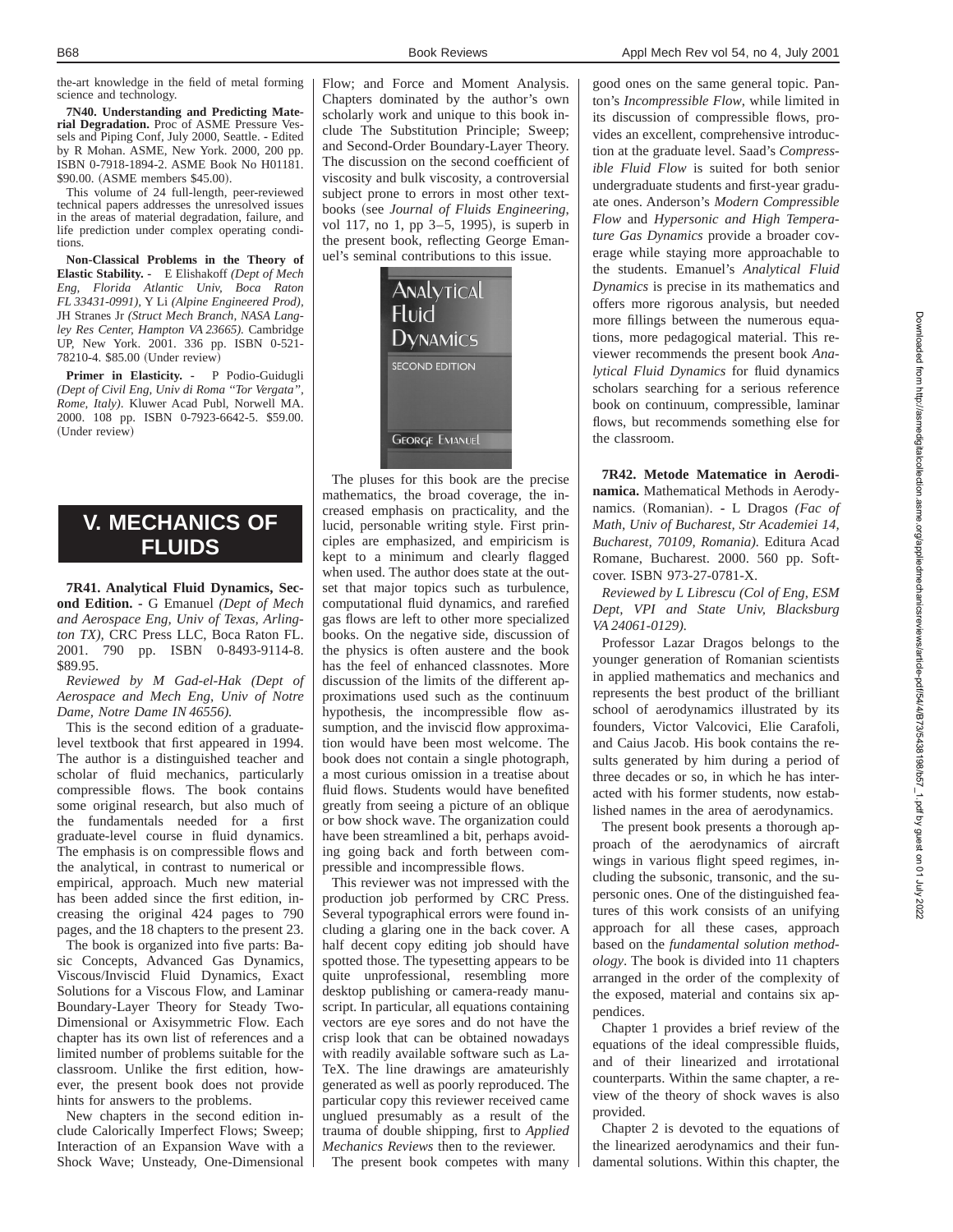the-art knowledge in the field of metal forming science and technology.

**7N40. Understanding and Predicting Material Degradation.** Proc of ASME Pressure Vessels and Piping Conf, July 2000, Seattle. **-** Edited by R Mohan. ASME, New York. 2000, 200 pp. ISBN 0-7918-1894-2. ASME Book No H01181. \$90.00. (ASME members \$45.00).

This volume of 24 full-length, peer-reviewed technical papers addresses the unresolved issues in the areas of material degradation, failure, and life prediction under complex operating conditions.

**Non-Classical Problems in the Theory of Elastic Stability. -** E Elishakoff *(Dept of Mech Eng, Florida Atlantic Univ, Boca Raton FL 33431-0991),* Y Li *(Alpine Engineered Prod),* JH Stranes Jr *(Struct Mech Branch, NASA Langley Res Center, Hampton VA 23665).* Cambridge UP, New York. 2001. 336 pp. ISBN 0-521- 78210-4. \$85.00 (Under review)

Primer in Elasticity. - P Podio-Guidugli *(Dept of Civil Eng, Univ di Roma ''Tor Vergata'', Rome, Italy)*. Kluwer Acad Publ, Norwell MA. 2000. 108 pp. ISBN 0-7923-6642-5. \$59.00. (Under review)

### **V. MECHANICS OF FLUIDS**

**7R41. Analytical Fluid Dynamics, Second Edition. -** G Emanuel *(Dept of Mech and Aerospace Eng, Univ of Texas, Arlington TX),* CRC Press LLC, Boca Raton FL. 2001. 790 pp. ISBN 0-8493-9114-8. \$89.95.

*Reviewed by M Gad-el-Hak (Dept of Aerospace and Mech Eng, Univ of Notre Dame, Notre Dame IN 46556).*

This is the second edition of a graduatelevel textbook that first appeared in 1994. The author is a distinguished teacher and scholar of fluid mechanics, particularly compressible flows. The book contains some original research, but also much of the fundamentals needed for a first graduate-level course in fluid dynamics. The emphasis is on compressible flows and the analytical, in contrast to numerical or empirical, approach. Much new material has been added since the first edition, increasing the original 424 pages to 790 pages, and the 18 chapters to the present 23.

The book is organized into five parts: Basic Concepts, Advanced Gas Dynamics, Viscous/Inviscid Fluid Dynamics, Exact Solutions for a Viscous Flow, and Laminar Boundary-Layer Theory for Steady Two-Dimensional or Axisymmetric Flow. Each chapter has its own list of references and a limited number of problems suitable for the classroom. Unlike the first edition, however, the present book does not provide hints for answers to the problems.

New chapters in the second edition include Calorically Imperfect Flows; Sweep; Interaction of an Expansion Wave with a Shock Wave; Unsteady, One-Dimensional Flow; and Force and Moment Analysis. Chapters dominated by the author's own scholarly work and unique to this book include The Substitution Principle; Sweep; and Second-Order Boundary-Layer Theory. The discussion on the second coefficient of viscosity and bulk viscosity, a controversial subject prone to errors in most other textbooks (see *Journal of Fluids Engineering*, vol 117, no 1, pp  $3-5$ , 1995), is superb in the present book, reflecting George Emanuel's seminal contributions to this issue.



The pluses for this book are the precise mathematics, the broad coverage, the increased emphasis on practicality, and the lucid, personable writing style. First principles are emphasized, and empiricism is kept to a minimum and clearly flagged when used. The author does state at the outset that major topics such as turbulence, computational fluid dynamics, and rarefied gas flows are left to other more specialized books. On the negative side, discussion of the physics is often austere and the book has the feel of enhanced classnotes. More discussion of the limits of the different approximations used such as the continuum hypothesis, the incompressible flow assumption, and the inviscid flow approximation would have been most welcome. The book does not contain a single photograph, a most curious omission in a treatise about fluid flows. Students would have benefited greatly from seeing a picture of an oblique or bow shock wave. The organization could have been streamlined a bit, perhaps avoiding going back and forth between compressible and incompressible flows.

This reviewer was not impressed with the production job performed by CRC Press. Several typographical errors were found including a glaring one in the back cover. A half decent copy editing job should have spotted those. The typesetting appears to be quite unprofessional, resembling more desktop publishing or camera-ready manuscript. In particular, all equations containing vectors are eye sores and do not have the crisp look that can be obtained nowadays with readily available software such as La-TeX. The line drawings are amateurishly generated as well as poorly reproduced. The particular copy this reviewer received came unglued presumably as a result of the trauma of double shipping, first to *Applied Mechanics Reviews* then to the reviewer.

The present book competes with many

good ones on the same general topic. Panton's *Incompressible Flow*, while limited in its discussion of compressible flows, provides an excellent, comprehensive introduction at the graduate level. Saad's *Compressible Fluid Flow* is suited for both senior undergraduate students and first-year graduate ones. Anderson's *Modern Compressible Flow* and *Hypersonic and High Temperature Gas Dynamics* provide a broader coverage while staying more approachable to the students. Emanuel's *Analytical Fluid Dynamics* is precise in its mathematics and offers more rigorous analysis, but needed more fillings between the numerous equations, more pedagogical material. This reviewer recommends the present book *Analytical Fluid Dynamics* for fluid dynamics scholars searching for a serious reference book on continuum, compressible, laminar flows, but recommends something else for the classroom.

**7R42. Metode Matematice in Aerodinamica.** Mathematical Methods in Aerodynamics. (Romanian). **-** L Dragos *(Fac of Math, Univ of Bucharest, Str Academiei 14, Bucharest, 70109, Romania).* Editura Acad Romane, Bucharest. 2000. 560 pp. Softcover. ISBN 973-27-0781-X.

*Reviewed by L Librescu (Col of Eng, ESM Dept, VPI and State Univ, Blacksburg VA 24061-0129).*

Professor Lazar Dragos belongs to the younger generation of Romanian scientists in applied mathematics and mechanics and represents the best product of the brilliant school of aerodynamics illustrated by its founders, Victor Valcovici, Elie Carafoli, and Caius Jacob. His book contains the results generated by him during a period of three decades or so, in which he has interacted with his former students, now established names in the area of aerodynamics.

The present book presents a thorough approach of the aerodynamics of aircraft wings in various flight speed regimes, including the subsonic, transonic, and the supersonic ones. One of the distinguished features of this work consists of an unifying approach for all these cases, approach based on the *fundamental solution methodology*. The book is divided into 11 chapters arranged in the order of the complexity of the exposed, material and contains six appendices.

Chapter 1 provides a brief review of the equations of the ideal compressible fluids, and of their linearized and irrotational counterparts. Within the same chapter, a review of the theory of shock waves is also provided.

Chapter 2 is devoted to the equations of the linearized aerodynamics and their fundamental solutions. Within this chapter, the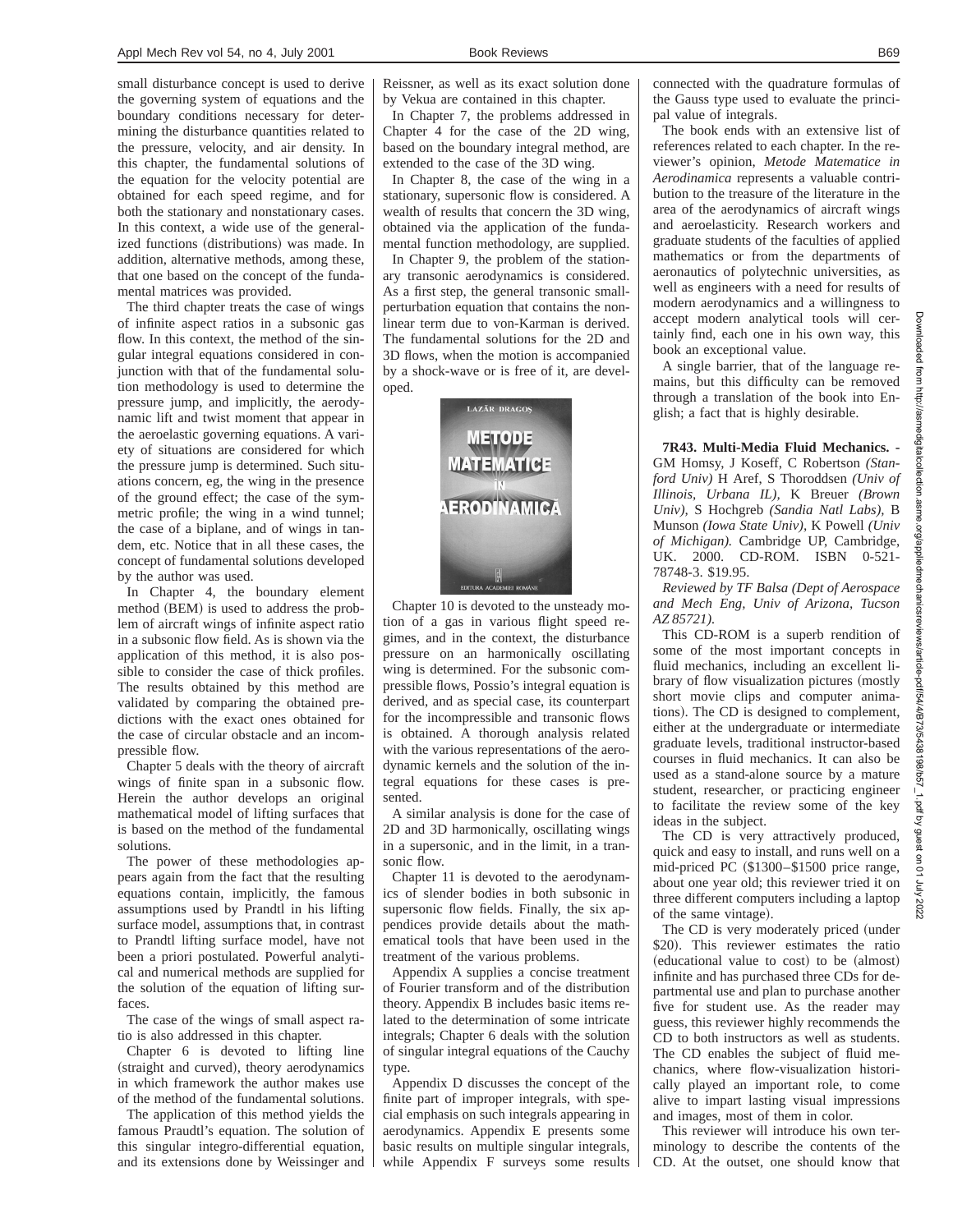small disturbance concept is used to derive the governing system of equations and the boundary conditions necessary for determining the disturbance quantities related to the pressure, velocity, and air density. In this chapter, the fundamental solutions of the equation for the velocity potential are obtained for each speed regime, and for both the stationary and nonstationary cases. In this context, a wide use of the generalized functions (distributions) was made. In addition, alternative methods, among these, that one based on the concept of the fundamental matrices was provided.

The third chapter treats the case of wings of infinite aspect ratios in a subsonic gas flow. In this context, the method of the singular integral equations considered in conjunction with that of the fundamental solution methodology is used to determine the pressure jump, and implicitly, the aerodynamic lift and twist moment that appear in the aeroelastic governing equations. A variety of situations are considered for which the pressure jump is determined. Such situations concern, eg, the wing in the presence of the ground effect; the case of the symmetric profile; the wing in a wind tunnel; the case of a biplane, and of wings in tandem, etc. Notice that in all these cases, the concept of fundamental solutions developed by the author was used.

In Chapter 4, the boundary element method (BEM) is used to address the problem of aircraft wings of infinite aspect ratio in a subsonic flow field. As is shown via the application of this method, it is also possible to consider the case of thick profiles. The results obtained by this method are validated by comparing the obtained predictions with the exact ones obtained for the case of circular obstacle and an incompressible flow.

Chapter 5 deals with the theory of aircraft wings of finite span in a subsonic flow. Herein the author develops an original mathematical model of lifting surfaces that is based on the method of the fundamental solutions.

The power of these methodologies appears again from the fact that the resulting equations contain, implicitly, the famous assumptions used by Prandtl in his lifting surface model, assumptions that, in contrast to Prandtl lifting surface model, have not been a priori postulated. Powerful analytical and numerical methods are supplied for the solution of the equation of lifting surfaces.

The case of the wings of small aspect ratio is also addressed in this chapter.

Chapter 6 is devoted to lifting line (straight and curved), theory aerodynamics in which framework the author makes use of the method of the fundamental solutions.

The application of this method yields the famous Praudtl's equation. The solution of this singular integro-differential equation, and its extensions done by Weissinger and

Reissner, as well as its exact solution done by Vekua are contained in this chapter.

In Chapter 7, the problems addressed in Chapter 4 for the case of the 2D wing, based on the boundary integral method, are extended to the case of the 3D wing.

In Chapter 8, the case of the wing in a stationary, supersonic flow is considered. A wealth of results that concern the 3D wing, obtained via the application of the fundamental function methodology, are supplied.

In Chapter 9, the problem of the stationary transonic aerodynamics is considered. As a first step, the general transonic smallperturbation equation that contains the nonlinear term due to von-Karman is derived. The fundamental solutions for the 2D and 3D flows, when the motion is accompanied by a shock-wave or is free of it, are developed.



Chapter 10 is devoted to the unsteady motion of a gas in various flight speed regimes, and in the context, the disturbance pressure on an harmonically oscillating wing is determined. For the subsonic compressible flows, Possio's integral equation is derived, and as special case, its counterpart for the incompressible and transonic flows is obtained. A thorough analysis related with the various representations of the aerodynamic kernels and the solution of the integral equations for these cases is presented.

A similar analysis is done for the case of 2D and 3D harmonically, oscillating wings in a supersonic, and in the limit, in a transonic flow.

Chapter 11 is devoted to the aerodynamics of slender bodies in both subsonic in supersonic flow fields. Finally, the six appendices provide details about the mathematical tools that have been used in the treatment of the various problems.

Appendix A supplies a concise treatment of Fourier transform and of the distribution theory. Appendix B includes basic items related to the determination of some intricate integrals; Chapter 6 deals with the solution of singular integral equations of the Cauchy type.

Appendix D discusses the concept of the finite part of improper integrals, with special emphasis on such integrals appearing in aerodynamics. Appendix E presents some basic results on multiple singular integrals, while Appendix F surveys some results

connected with the quadrature formulas of the Gauss type used to evaluate the principal value of integrals.

The book ends with an extensive list of references related to each chapter. In the reviewer's opinion, *Metode Matematice in Aerodinamica* represents a valuable contribution to the treasure of the literature in the area of the aerodynamics of aircraft wings and aeroelasticity. Research workers and graduate students of the faculties of applied mathematics or from the departments of aeronautics of polytechnic universities, as well as engineers with a need for results of modern aerodynamics and a willingness to accept modern analytical tools will certainly find, each one in his own way, this book an exceptional value.

A single barrier, that of the language remains, but this difficulty can be removed through a translation of the book into English; a fact that is highly desirable.

**7R43. Multi-Media Fluid Mechanics. -** GM Homsy, J Koseff, C Robertson *(Stanford Univ)* H Aref, S Thoroddsen *(Univ of Illinois, Urbana IL),* K Breuer *(Brown Univ),* S Hochgreb *(Sandia Natl Labs),* B Munson *(Iowa State Univ),* K Powell *(Univ of Michigan).* Cambridge UP, Cambridge, UK. 2000. CD-ROM. ISBN 0-521- 78748-3. \$19.95.

*Reviewed by TF Balsa (Dept of Aerospace and Mech Eng, Univ of Arizona, Tucson AZ 85721).*

This CD-ROM is a superb rendition of some of the most important concepts in fluid mechanics, including an excellent library of flow visualization pictures (mostly short movie clips and computer animations). The CD is designed to complement, either at the undergraduate or intermediate graduate levels, traditional instructor-based courses in fluid mechanics. It can also be used as a stand-alone source by a mature student, researcher, or practicing engineer to facilitate the review some of the key ideas in the subject.

The CD is very attractively produced, quick and easy to install, and runs well on a mid-priced PC  $($1300 - $1500$  price range, about one year old; this reviewer tried it on three different computers including a laptop of the same vintage).

The CD is very moderately priced (under \$20). This reviewer estimates the ratio (educational value to cost) to be (almost) infinite and has purchased three CDs for departmental use and plan to purchase another five for student use. As the reader may guess, this reviewer highly recommends the CD to both instructors as well as students. The CD enables the subject of fluid mechanics, where flow-visualization historically played an important role, to come alive to impart lasting visual impressions and images, most of them in color.

This reviewer will introduce his own terminology to describe the contents of the CD. At the outset, one should know that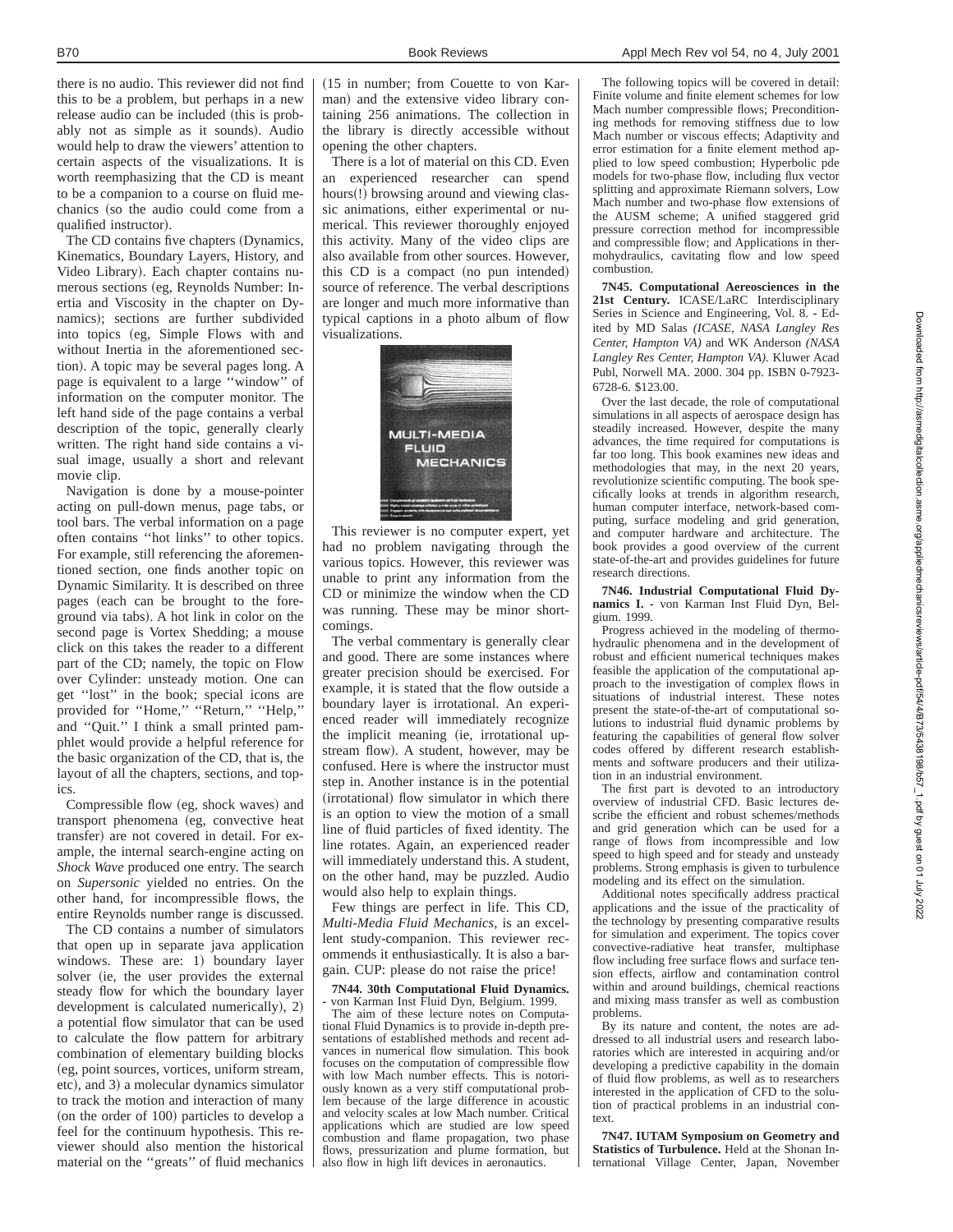there is no audio. This reviewer did not find this to be a problem, but perhaps in a new release audio can be included (this is probably not as simple as it sounds). Audio would help to draw the viewers' attention to certain aspects of the visualizations. It is worth reemphasizing that the CD is meant to be a companion to a course on fluid mechanics (so the audio could come from a qualified instructor).

The CD contains five chapters (Dynamics, Kinematics, Boundary Layers, History, and Video Library). Each chapter contains numerous sections (eg, Reynolds Number: Inertia and Viscosity in the chapter on Dynamics); sections are further subdivided into topics (eg, Simple Flows with and without Inertia in the aforementioned section). A topic may be several pages long. A page is equivalent to a large ''window'' of information on the computer monitor. The left hand side of the page contains a verbal description of the topic, generally clearly written. The right hand side contains a visual image, usually a short and relevant movie clip.

Navigation is done by a mouse-pointer acting on pull-down menus, page tabs, or tool bars. The verbal information on a page often contains ''hot links'' to other topics. For example, still referencing the aforementioned section, one finds another topic on Dynamic Similarity. It is described on three pages (each can be brought to the foreground via tabs). A hot link in color on the second page is Vortex Shedding; a mouse click on this takes the reader to a different part of the CD; namely, the topic on Flow over Cylinder: unsteady motion. One can get ''lost'' in the book; special icons are provided for "Home," "Return," "Help," and ''Quit.'' I think a small printed pamphlet would provide a helpful reference for the basic organization of the CD, that is, the layout of all the chapters, sections, and topics.

Compressible flow (eg, shock waves) and transport phenomena (eg, convective heat transfer) are not covered in detail. For example, the internal search-engine acting on *Shock Wave* produced one entry. The search on *Supersonic* yielded no entries. On the other hand, for incompressible flows, the entire Reynolds number range is discussed.

The CD contains a number of simulators that open up in separate java application windows. These are:  $1$ ) boundary layer solver (ie, the user provides the external steady flow for which the boundary layer  $development$  is calculated numerically),  $2$ ) a potential flow simulator that can be used to calculate the flow pattern for arbitrary combination of elementary building blocks (eg, point sources, vortices, uniform stream, etc), and 3) a molecular dynamics simulator to track the motion and interaction of many (on the order of  $100$ ) particles to develop a feel for the continuum hypothesis. This reviewer should also mention the historical material on the ''greats'' of fluid mechanics  $(15$  in number; from Couette to von Karman) and the extensive video library containing 256 animations. The collection in the library is directly accessible without opening the other chapters.

There is a lot of material on this CD. Even an experienced researcher can spend hours(!) browsing around and viewing classic animations, either experimental or numerical. This reviewer thoroughly enjoyed this activity. Many of the video clips are also available from other sources. However, this  $CD$  is a compact (no pun intended) source of reference. The verbal descriptions are longer and much more informative than typical captions in a photo album of flow visualizations.



This reviewer is no computer expert, yet had no problem navigating through the various topics. However, this reviewer was unable to print any information from the CD or minimize the window when the CD was running. These may be minor shortcomings.

The verbal commentary is generally clear and good. There are some instances where greater precision should be exercised. For example, it is stated that the flow outside a boundary layer is irrotational. An experienced reader will immediately recognize the implicit meaning (ie, irrotational upstream flow). A student, however, may be confused. Here is where the instructor must step in. Another instance is in the potential (irrotational) flow simulator in which there is an option to view the motion of a small line of fluid particles of fixed identity. The line rotates. Again, an experienced reader will immediately understand this. A student, on the other hand, may be puzzled. Audio would also help to explain things.

Few things are perfect in life. This CD, *Multi-Media Fluid Mechanics*, is an excellent study-companion. This reviewer recommends it enthusiastically. It is also a bargain. CUP: please do not raise the price!

### **7N44. 30th Computational Fluid Dynamics.**

**-** von Karman Inst Fluid Dyn, Belgium. 1999. The aim of these lecture notes on Computational Fluid Dynamics is to provide in-depth presentations of established methods and recent advances in numerical flow simulation. This book focuses on the computation of compressible flow with low Mach number effects. This is notoriously known as a very stiff computational problem because of the large difference in acoustic and velocity scales at low Mach number. Critical applications which are studied are low speed combustion and flame propagation, two phase flows, pressurization and plume formation, but also flow in high lift devices in aeronautics.

The following topics will be covered in detail: Finite volume and finite element schemes for low Mach number compressible flows; Preconditioning methods for removing stiffness due to low Mach number or viscous effects; Adaptivity and error estimation for a finite element method applied to low speed combustion; Hyperbolic pde models for two-phase flow, including flux vector splitting and approximate Riemann solvers, Low Mach number and two-phase flow extensions of the AUSM scheme; A unified staggered grid pressure correction method for incompressible and compressible flow; and Applications in thermohydraulics, cavitating flow and low speed combustion.

**7N45. Computational Aereosciences in the 21st Century.** ICASE/LaRC Interdisciplinary Series in Science and Engineering, Vol. 8. **-** Edited by MD Salas *(ICASE, NASA Langley Res Center, Hampton VA)* and WK Anderson *(NASA Langley Res Center, Hampton VA).* Kluwer Acad Publ, Norwell MA. 2000. 304 pp. ISBN 0-7923- 6728-6. \$123.00.

Over the last decade, the role of computational simulations in all aspects of aerospace design has steadily increased. However, despite the many advances, the time required for computations is far too long. This book examines new ideas and methodologies that may, in the next 20 years, revolutionize scientific computing. The book specifically looks at trends in algorithm research, human computer interface, network-based computing, surface modeling and grid generation, and computer hardware and architecture. The book provides a good overview of the current state-of-the-art and provides guidelines for future research directions.

**7N46. Industrial Computational Fluid Dynamics I. -** von Karman Inst Fluid Dyn, Belgium. 1999.

Progress achieved in the modeling of thermohydraulic phenomena and in the development of robust and efficient numerical techniques makes feasible the application of the computational approach to the investigation of complex flows in situations of industrial interest. These notes present the state-of-the-art of computational solutions to industrial fluid dynamic problems by featuring the capabilities of general flow solver codes offered by different research establishments and software producers and their utilization in an industrial environment.

The first part is devoted to an introductory overview of industrial CFD. Basic lectures describe the efficient and robust schemes/methods and grid generation which can be used for a range of flows from incompressible and low speed to high speed and for steady and unsteady problems. Strong emphasis is given to turbulence modeling and its effect on the simulation.

Additional notes specifically address practical applications and the issue of the practicality of the technology by presenting comparative results for simulation and experiment. The topics cover convective-radiative heat transfer, multiphase flow including free surface flows and surface tension effects, airflow and contamination control within and around buildings, chemical reactions and mixing mass transfer as well as combustion problems.

By its nature and content, the notes are addressed to all industrial users and research laboratories which are interested in acquiring and/or developing a predictive capability in the domain of fluid flow problems, as well as to researchers interested in the application of CFD to the solution of practical problems in an industrial context.

**7N47. IUTAM Symposium on Geometry and Statistics of Turbulence.** Held at the Shonan International Village Center, Japan, November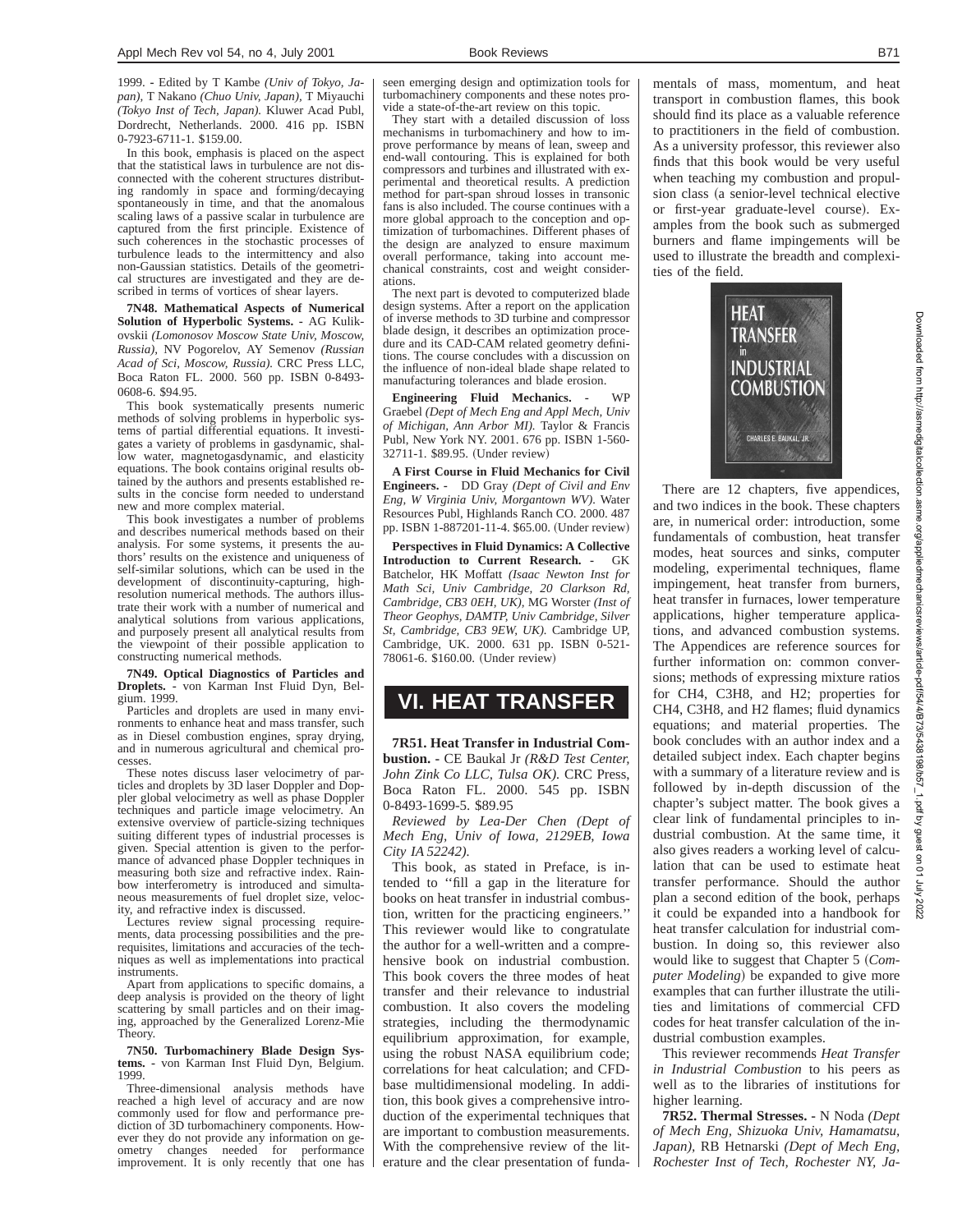1999. **-** Edited by T Kambe *(Univ of Tokyo, Japan),* T Nakano *(Chuo Univ, Japan),* T Miyauchi *(Tokyo Inst of Tech, Japan).* Kluwer Acad Publ, Dordrecht, Netherlands. 2000. 416 pp. ISBN 0-7923-6711-1. \$159.00.

In this book, emphasis is placed on the aspect that the statistical laws in turbulence are not disconnected with the coherent structures distributing randomly in space and forming/decaying spontaneously in time, and that the anomalous scaling laws of a passive scalar in turbulence are captured from the first principle. Existence of such coherences in the stochastic processes of turbulence leads to the intermittency and also non-Gaussian statistics. Details of the geometrical structures are investigated and they are described in terms of vortices of shear layers.

**7N48. Mathematical Aspects of Numerical Solution of Hyperbolic Systems. -** AG Kulikovskii *(Lomonosov Moscow State Univ, Moscow, Russia),* NV Pogorelov, AY Semenov *(Russian Acad of Sci, Moscow, Russia).* CRC Press LLC, Boca Raton FL. 2000. 560 pp. ISBN 0-8493- 0608-6. \$94.95.

This book systematically presents numeric methods of solving problems in hyperbolic systems of partial differential equations. It investigates a variety of problems in gasdynamic, shallow water, magnetogasdynamic, and elasticity equations. The book contains original results obtained by the authors and presents established results in the concise form needed to understand new and more complex material.

This book investigates a number of problems and describes numerical methods based on their analysis. For some systems, it presents the authors' results on the existence and uniqueness of self-similar solutions, which can be used in the development of discontinuity-capturing, highresolution numerical methods. The authors illustrate their work with a number of numerical and analytical solutions from various applications, and purposely present all analytical results from the viewpoint of their possible application to constructing numerical methods.

**7N49. Optical Diagnostics of Particles and Droplets. -** von Karman Inst Fluid Dyn, Belgium. 1999.

Particles and droplets are used in many environments to enhance heat and mass transfer, such as in Diesel combustion engines, spray drying, and in numerous agricultural and chemical processes.

These notes discuss laser velocimetry of particles and droplets by 3D laser Doppler and Doppler global velocimetry as well as phase Doppler techniques and particle image velocimetry. An extensive overview of particle-sizing techniques suiting different types of industrial processes is given. Special attention is given to the performance of advanced phase Doppler techniques in measuring both size and refractive index. Rainbow interferometry is introduced and simultaneous measurements of fuel droplet size, velocity, and refractive index is discussed.

Lectures review signal processing requirements, data processing possibilities and the prerequisites, limitations and accuracies of the techniques as well as implementations into practical instruments.

Apart from applications to specific domains, a deep analysis is provided on the theory of light scattering by small particles and on their imaging, approached by the Generalized Lorenz-Mie Theory.

**7N50. Turbomachinery Blade Design Systems. -** von Karman Inst Fluid Dyn, Belgium. 1999.

Three-dimensional analysis methods have reached a high level of accuracy and are now commonly used for flow and performance prediction of 3D turbomachinery components. However they do not provide any information on geometry changes needed for performance improvement. It is only recently that one has

seen emerging design and optimization tools for turbomachinery components and these notes provide a state-of-the-art review on this topic.

They start with a detailed discussion of loss mechanisms in turbomachinery and how to improve performance by means of lean, sweep and end-wall contouring. This is explained for both compressors and turbines and illustrated with experimental and theoretical results. A prediction method for part-span shroud losses in transonic fans is also included. The course continues with a more global approach to the conception and optimization of turbomachines. Different phases of the design are analyzed to ensure maximum overall performance, taking into account mechanical constraints, cost and weight considerations.

The next part is devoted to computerized blade design systems. After a report on the application of inverse methods to 3D turbine and compressor blade design, it describes an optimization procedure and its CAD-CAM related geometry definitions. The course concludes with a discussion on the influence of non-ideal blade shape related to manufacturing tolerances and blade erosion.

**Engineering Fluid Mechanics. -** WP Graebel *(Dept of Mech Eng and Appl Mech, Univ of Michigan, Ann Arbor MI).* Taylor & Francis Publ, New York NY. 2001. 676 pp. ISBN 1-560- 32711-1. \$89.95. (Under review)

**A First Course in Fluid Mechanics for Civil Engineers. -** DD Gray *(Dept of Civil and Env Eng, W Virginia Univ, Morgantown WV).* Water Resources Publ, Highlands Ranch CO. 2000. 487 pp. ISBN 1-887201-11-4. \$65.00. (Under review)

**Perspectives in Fluid Dynamics: A Collective Introduction to Current Research. -** GK Batchelor, HK Moffatt *(Isaac Newton Inst for Math Sci, Univ Cambridge, 20 Clarkson Rd, Cambridge, CB3 0EH, UK),* MG Worster *(Inst of Theor Geophys, DAMTP, Univ Cambridge, Silver St, Cambridge, CB3 9EW, UK).* Cambridge UP, Cambridge, UK. 2000. 631 pp. ISBN 0-521- 78061-6. \$160.00. (Under review)

### **VI. HEAT TRANSFER**

**7R51. Heat Transfer in Industrial Combustion. -** CE Baukal Jr *(R&D Test Center, John Zink Co LLC, Tulsa OK).* CRC Press, Boca Raton FL. 2000. 545 pp. ISBN 0-8493-1699-5. \$89.95

*Reviewed by Lea-Der Chen (Dept of Mech Eng, Univ of Iowa, 2129EB, Iowa City IA 52242).*

This book, as stated in Preface, is intended to ''fill a gap in the literature for books on heat transfer in industrial combustion, written for the practicing engineers.'' This reviewer would like to congratulate the author for a well-written and a comprehensive book on industrial combustion. This book covers the three modes of heat transfer and their relevance to industrial combustion. It also covers the modeling strategies, including the thermodynamic equilibrium approximation, for example, using the robust NASA equilibrium code; correlations for heat calculation; and CFDbase multidimensional modeling. In addition, this book gives a comprehensive introduction of the experimental techniques that are important to combustion measurements. With the comprehensive review of the literature and the clear presentation of funda-

mentals of mass, momentum, and heat transport in combustion flames, this book should find its place as a valuable reference to practitioners in the field of combustion. As a university professor, this reviewer also finds that this book would be very useful when teaching my combustion and propulsion class (a senior-level technical elective or first-year graduate-level course). Examples from the book such as submerged burners and flame impingements will be used to illustrate the breadth and complexities of the field.



There are 12 chapters, five appendices, and two indices in the book. These chapters are, in numerical order: introduction, some fundamentals of combustion, heat transfer modes, heat sources and sinks, computer modeling, experimental techniques, flame impingement, heat transfer from burners, heat transfer in furnaces, lower temperature applications, higher temperature applications, and advanced combustion systems. The Appendices are reference sources for further information on: common conversions; methods of expressing mixture ratios for CH4, C3H8, and H2; properties for CH4, C3H8, and H2 flames; fluid dynamics equations; and material properties. The book concludes with an author index and a detailed subject index. Each chapter begins with a summary of a literature review and is followed by in-depth discussion of the chapter's subject matter. The book gives a clear link of fundamental principles to industrial combustion. At the same time, it also gives readers a working level of calculation that can be used to estimate heat transfer performance. Should the author plan a second edition of the book, perhaps it could be expanded into a handbook for heat transfer calculation for industrial combustion. In doing so, this reviewer also would like to suggest that Chapter 5 (*Computer Modeling*) be expanded to give more examples that can further illustrate the utilities and limitations of commercial CFD codes for heat transfer calculation of the industrial combustion examples.

This reviewer recommends *Heat Transfer in Industrial Combustion* to his peers as well as to the libraries of institutions for higher learning.

**7R52. Thermal Stresses. -** N Noda *(Dept of Mech Eng, Shizuoka Univ, Hamamatsu, Japan),* RB Hetnarski *(Dept of Mech Eng, Rochester Inst of Tech, Rochester NY, Ja-*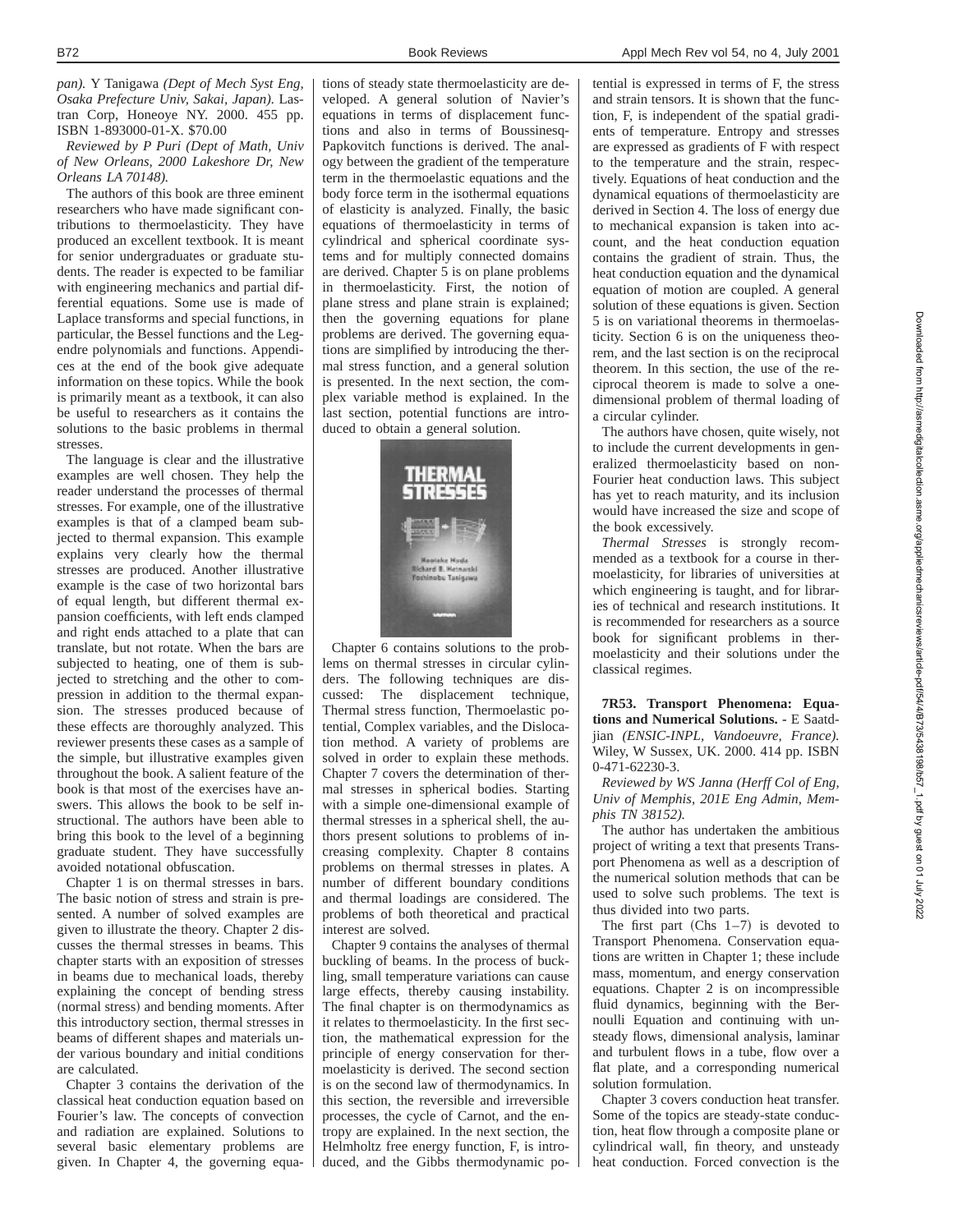*pan).* Y Tanigawa *(Dept of Mech Syst Eng, Osaka Prefecture Univ, Sakai, Japan).* Lastran Corp, Honeoye NY. 2000. 455 pp. ISBN 1-893000-01-X. \$70.00

*Reviewed by P Puri (Dept of Math, Univ of New Orleans, 2000 Lakeshore Dr, New Orleans LA 70148).*

The authors of this book are three eminent researchers who have made significant contributions to thermoelasticity. They have produced an excellent textbook. It is meant for senior undergraduates or graduate students. The reader is expected to be familiar with engineering mechanics and partial differential equations. Some use is made of Laplace transforms and special functions, in particular, the Bessel functions and the Legendre polynomials and functions. Appendices at the end of the book give adequate information on these topics. While the book is primarily meant as a textbook, it can also be useful to researchers as it contains the solutions to the basic problems in thermal stresses.

The language is clear and the illustrative examples are well chosen. They help the reader understand the processes of thermal stresses. For example, one of the illustrative examples is that of a clamped beam subjected to thermal expansion. This example explains very clearly how the thermal stresses are produced. Another illustrative example is the case of two horizontal bars of equal length, but different thermal expansion coefficients, with left ends clamped and right ends attached to a plate that can translate, but not rotate. When the bars are subjected to heating, one of them is subjected to stretching and the other to compression in addition to the thermal expansion. The stresses produced because of these effects are thoroughly analyzed. This reviewer presents these cases as a sample of the simple, but illustrative examples given throughout the book. A salient feature of the book is that most of the exercises have answers. This allows the book to be self instructional. The authors have been able to bring this book to the level of a beginning graduate student. They have successfully avoided notational obfuscation.

Chapter 1 is on thermal stresses in bars. The basic notion of stress and strain is presented. A number of solved examples are given to illustrate the theory. Chapter 2 discusses the thermal stresses in beams. This chapter starts with an exposition of stresses in beams due to mechanical loads, thereby explaining the concept of bending stress (normal stress) and bending moments. After this introductory section, thermal stresses in beams of different shapes and materials under various boundary and initial conditions are calculated.

Chapter 3 contains the derivation of the classical heat conduction equation based on Fourier's law. The concepts of convection and radiation are explained. Solutions to several basic elementary problems are given. In Chapter 4, the governing equations of steady state thermoelasticity are developed. A general solution of Navier's equations in terms of displacement functions and also in terms of Boussinesq-Papkovitch functions is derived. The analogy between the gradient of the temperature term in the thermoelastic equations and the body force term in the isothermal equations of elasticity is analyzed. Finally, the basic equations of thermoelasticity in terms of cylindrical and spherical coordinate systems and for multiply connected domains are derived. Chapter 5 is on plane problems in thermoelasticity. First, the notion of plane stress and plane strain is explained; then the governing equations for plane problems are derived. The governing equations are simplified by introducing the thermal stress function, and a general solution is presented. In the next section, the complex variable method is explained. In the last section, potential functions are introduced to obtain a general solution.



Chapter 6 contains solutions to the problems on thermal stresses in circular cylinders. The following techniques are discussed: The displacement technique, Thermal stress function, Thermoelastic potential, Complex variables, and the Dislocation method. A variety of problems are solved in order to explain these methods. Chapter 7 covers the determination of thermal stresses in spherical bodies. Starting with a simple one-dimensional example of thermal stresses in a spherical shell, the authors present solutions to problems of increasing complexity. Chapter 8 contains problems on thermal stresses in plates. A number of different boundary conditions and thermal loadings are considered. The problems of both theoretical and practical interest are solved.

Chapter 9 contains the analyses of thermal buckling of beams. In the process of buckling, small temperature variations can cause large effects, thereby causing instability. The final chapter is on thermodynamics as it relates to thermoelasticity. In the first section, the mathematical expression for the principle of energy conservation for thermoelasticity is derived. The second section is on the second law of thermodynamics. In this section, the reversible and irreversible processes, the cycle of Carnot, and the entropy are explained. In the next section, the Helmholtz free energy function, F, is introduced, and the Gibbs thermodynamic po-

tential is expressed in terms of F, the stress and strain tensors. It is shown that the function, F, is independent of the spatial gradients of temperature. Entropy and stresses are expressed as gradients of F with respect to the temperature and the strain, respectively. Equations of heat conduction and the dynamical equations of thermoelasticity are derived in Section 4. The loss of energy due to mechanical expansion is taken into account, and the heat conduction equation contains the gradient of strain. Thus, the heat conduction equation and the dynamical equation of motion are coupled. A general solution of these equations is given. Section 5 is on variational theorems in thermoelasticity. Section 6 is on the uniqueness theorem, and the last section is on the reciprocal theorem. In this section, the use of the reciprocal theorem is made to solve a onedimensional problem of thermal loading of a circular cylinder.

The authors have chosen, quite wisely, not to include the current developments in generalized thermoelasticity based on non-Fourier heat conduction laws. This subject has yet to reach maturity, and its inclusion would have increased the size and scope of the book excessively.

*Thermal Stresses* is strongly recommended as a textbook for a course in thermoelasticity, for libraries of universities at which engineering is taught, and for libraries of technical and research institutions. It is recommended for researchers as a source book for significant problems in thermoelasticity and their solutions under the classical regimes.

**7R53. Transport Phenomena: Equations and Numerical Solutions. -** E Saatdjian *(ENSIC-INPL, Vandoeuvre, France).* Wiley, W Sussex, UK. 2000. 414 pp. ISBN 0-471-62230-3.

*Reviewed by WS Janna (Herff Col of Eng, Univ of Memphis, 201E Eng Admin, Memphis TN 38152).*

The author has undertaken the ambitious project of writing a text that presents Transport Phenomena as well as a description of the numerical solution methods that can be used to solve such problems. The text is thus divided into two parts.

The first part  $(Chs 11-7)$  is devoted to Transport Phenomena. Conservation equations are written in Chapter 1; these include mass, momentum, and energy conservation equations. Chapter 2 is on incompressible fluid dynamics, beginning with the Bernoulli Equation and continuing with unsteady flows, dimensional analysis, laminar and turbulent flows in a tube, flow over a flat plate, and a corresponding numerical solution formulation.

Chapter 3 covers conduction heat transfer. Some of the topics are steady-state conduction, heat flow through a composite plane or cylindrical wall, fin theory, and unsteady heat conduction. Forced convection is the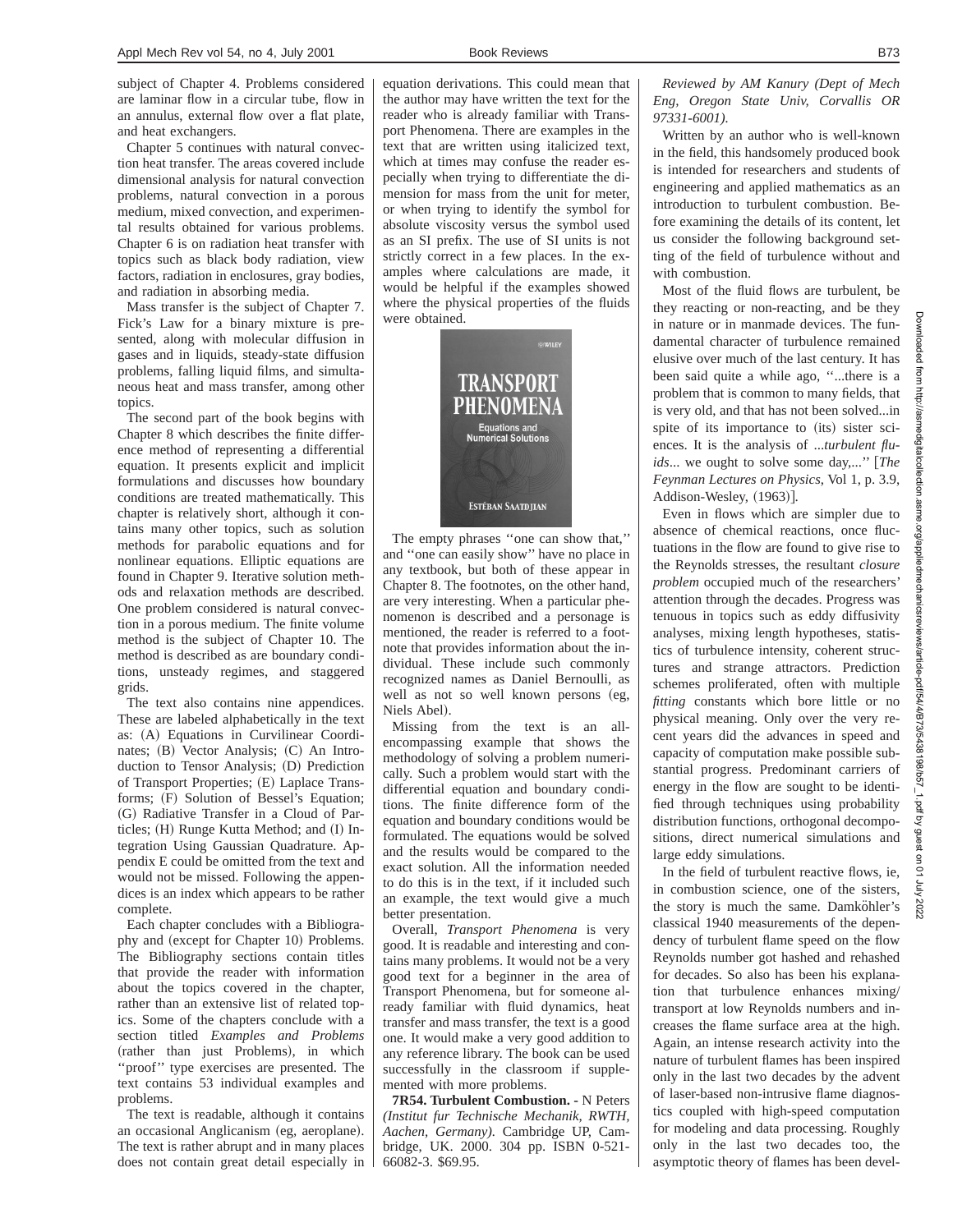subject of Chapter 4. Problems considered are laminar flow in a circular tube, flow in an annulus, external flow over a flat plate, and heat exchangers.

Chapter 5 continues with natural convection heat transfer. The areas covered include dimensional analysis for natural convection problems, natural convection in a porous medium, mixed convection, and experimental results obtained for various problems. Chapter 6 is on radiation heat transfer with topics such as black body radiation, view factors, radiation in enclosures, gray bodies, and radiation in absorbing media.

Mass transfer is the subject of Chapter 7. Fick's Law for a binary mixture is presented, along with molecular diffusion in gases and in liquids, steady-state diffusion problems, falling liquid films, and simultaneous heat and mass transfer, among other topics.

The second part of the book begins with Chapter 8 which describes the finite difference method of representing a differential equation. It presents explicit and implicit formulations and discusses how boundary conditions are treated mathematically. This chapter is relatively short, although it contains many other topics, such as solution methods for parabolic equations and for nonlinear equations. Elliptic equations are found in Chapter 9. Iterative solution methods and relaxation methods are described. One problem considered is natural convection in a porous medium. The finite volume method is the subject of Chapter 10. The method is described as are boundary conditions, unsteady regimes, and staggered grids.

The text also contains nine appendices. These are labeled alphabetically in the text as: (A) Equations in Curvilinear Coordinates;  $(B)$  Vector Analysis;  $(C)$  An Introduction to Tensor Analysis; (D) Prediction of Transport Properties; (E) Laplace Transforms;  $(F)$  Solution of Bessel's Equation; ~G! Radiative Transfer in a Cloud of Particles;  $(H)$  Runge Kutta Method; and  $(I)$  Integration Using Gaussian Quadrature. Appendix E could be omitted from the text and would not be missed. Following the appendices is an index which appears to be rather complete.

Each chapter concludes with a Bibliography and (except for Chapter 10) Problems. The Bibliography sections contain titles that provide the reader with information about the topics covered in the chapter, rather than an extensive list of related topics. Some of the chapters conclude with a section titled *Examples and Problems* (rather than just Problems), in which ''proof'' type exercises are presented. The text contains 53 individual examples and problems.

The text is readable, although it contains an occasional Anglicanism (eg, aeroplane). The text is rather abrupt and in many places does not contain great detail especially in

equation derivations. This could mean that the author may have written the text for the reader who is already familiar with Transport Phenomena. There are examples in the text that are written using italicized text, which at times may confuse the reader especially when trying to differentiate the dimension for mass from the unit for meter, or when trying to identify the symbol for absolute viscosity versus the symbol used as an SI prefix. The use of SI units is not strictly correct in a few places. In the examples where calculations are made, it would be helpful if the examples showed where the physical properties of the fluids were obtained.



The empty phrases ''one can show that,'' and ''one can easily show'' have no place in any textbook, but both of these appear in Chapter 8. The footnotes, on the other hand, are very interesting. When a particular phenomenon is described and a personage is mentioned, the reader is referred to a footnote that provides information about the individual. These include such commonly recognized names as Daniel Bernoulli, as well as not so well known persons (eg, Niels Abel).

Missing from the text is an allencompassing example that shows the methodology of solving a problem numerically. Such a problem would start with the differential equation and boundary conditions. The finite difference form of the equation and boundary conditions would be formulated. The equations would be solved and the results would be compared to the exact solution. All the information needed to do this is in the text, if it included such an example, the text would give a much better presentation.

Overall, *Transport Phenomena* is very good. It is readable and interesting and contains many problems. It would not be a very good text for a beginner in the area of Transport Phenomena, but for someone already familiar with fluid dynamics, heat transfer and mass transfer, the text is a good one. It would make a very good addition to any reference library. The book can be used successfully in the classroom if supplemented with more problems.

**7R54. Turbulent Combustion. -** N Peters *(Institut fur Technische Mechanik, RWTH, Aachen, Germany).* Cambridge UP, Cambridge, UK. 2000. 304 pp. ISBN 0-521- 66082-3. \$69.95.

*Reviewed by AM Kanury (Dept of Mech Eng, Oregon State Univ, Corvallis OR 97331-6001).*

Written by an author who is well-known in the field, this handsomely produced book is intended for researchers and students of engineering and applied mathematics as an introduction to turbulent combustion. Before examining the details of its content, let us consider the following background setting of the field of turbulence without and with combustion.

Most of the fluid flows are turbulent, be they reacting or non-reacting, and be they in nature or in manmade devices. The fundamental character of turbulence remained elusive over much of the last century. It has been said quite a while ago, ''...there is a problem that is common to many fields, that is very old, and that has not been solved...in spite of its importance to (its) sister sciences. It is the analysis of ...*turbulent fluids...* we ought to solve some day,..." [The *Feynman Lectures on Physics*, Vol 1, p. 3.9, Addison-Wesley,  $(1963)$ ].

Even in flows which are simpler due to absence of chemical reactions, once fluctuations in the flow are found to give rise to the Reynolds stresses, the resultant *closure problem* occupied much of the researchers' attention through the decades. Progress was tenuous in topics such as eddy diffusivity analyses, mixing length hypotheses, statistics of turbulence intensity, coherent structures and strange attractors. Prediction schemes proliferated, often with multiple *fitting* constants which bore little or no physical meaning. Only over the very recent years did the advances in speed and capacity of computation make possible substantial progress. Predominant carriers of energy in the flow are sought to be identified through techniques using probability distribution functions, orthogonal decompositions, direct numerical simulations and large eddy simulations.

In the field of turbulent reactive flows, ie, in combustion science, one of the sisters, the story is much the same. Damköhler's classical 1940 measurements of the dependency of turbulent flame speed on the flow Reynolds number got hashed and rehashed for decades. So also has been his explanation that turbulence enhances mixing/ transport at low Reynolds numbers and increases the flame surface area at the high. Again, an intense research activity into the nature of turbulent flames has been inspired only in the last two decades by the advent of laser-based non-intrusive flame diagnostics coupled with high-speed computation for modeling and data processing. Roughly only in the last two decades too, the asymptotic theory of flames has been devel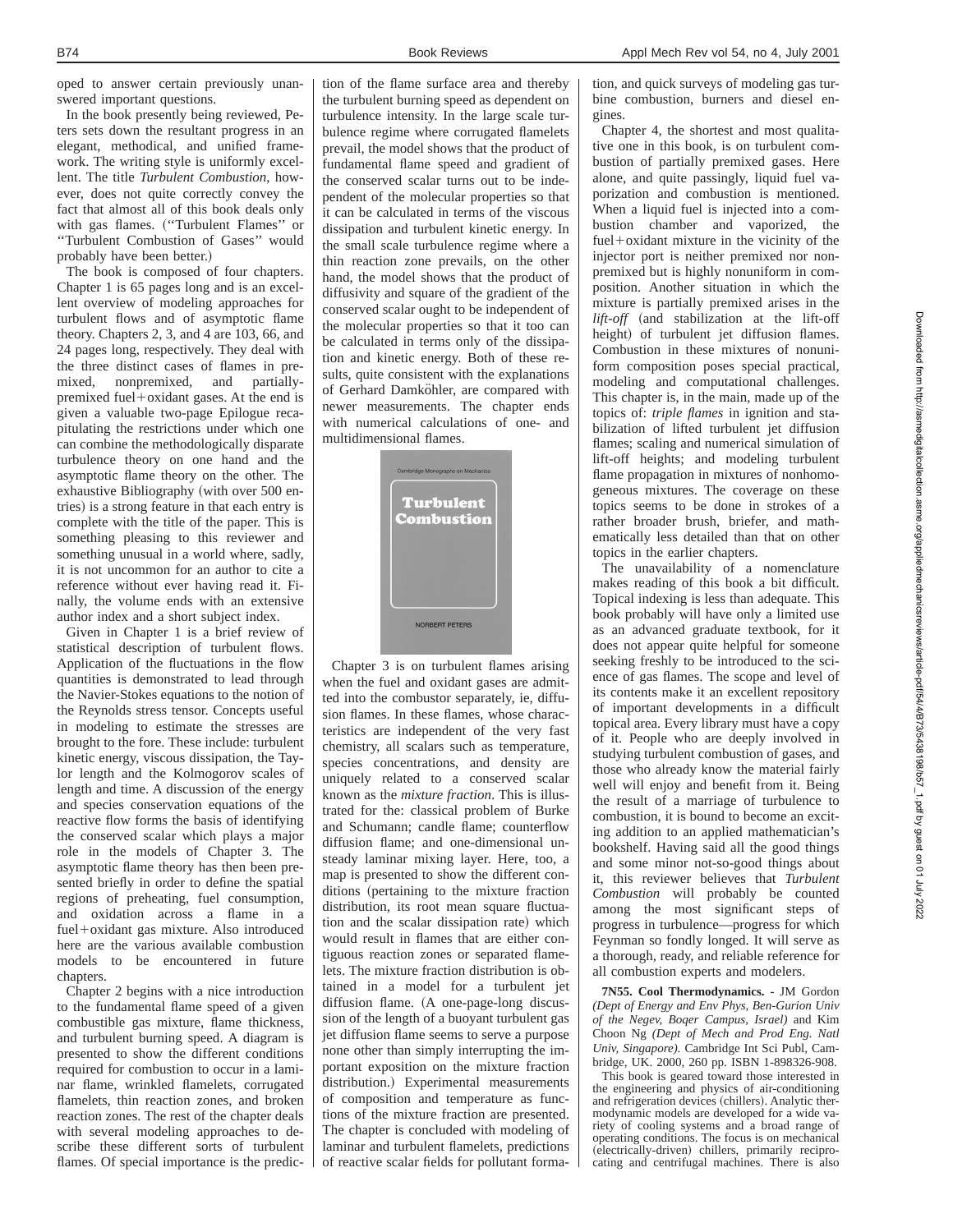oped to answer certain previously unanswered important questions.

In the book presently being reviewed, Peters sets down the resultant progress in an elegant, methodical, and unified framework. The writing style is uniformly excellent. The title *Turbulent Combustion*, however, does not quite correctly convey the fact that almost all of this book deals only with gas flames. ("Turbulent Flames" or ''Turbulent Combustion of Gases'' would probably have been better.)

The book is composed of four chapters. Chapter 1 is 65 pages long and is an excellent overview of modeling approaches for turbulent flows and of asymptotic flame theory. Chapters 2, 3, and 4 are 103, 66, and 24 pages long, respectively. They deal with the three distinct cases of flames in premixed, nonpremixed, and partiallypremixed fuel $+\alpha x$  identified solutions. At the end is given a valuable two-page Epilogue recapitulating the restrictions under which one can combine the methodologically disparate turbulence theory on one hand and the asymptotic flame theory on the other. The exhaustive Bibliography (with over 500 entries) is a strong feature in that each entry is complete with the title of the paper. This is something pleasing to this reviewer and something unusual in a world where, sadly, it is not uncommon for an author to cite a reference without ever having read it. Finally, the volume ends with an extensive author index and a short subject index.

Given in Chapter 1 is a brief review of statistical description of turbulent flows. Application of the fluctuations in the flow quantities is demonstrated to lead through the Navier-Stokes equations to the notion of the Reynolds stress tensor. Concepts useful in modeling to estimate the stresses are brought to the fore. These include: turbulent kinetic energy, viscous dissipation, the Taylor length and the Kolmogorov scales of length and time. A discussion of the energy and species conservation equations of the reactive flow forms the basis of identifying the conserved scalar which plays a major role in the models of Chapter 3. The asymptotic flame theory has then been presented briefly in order to define the spatial regions of preheating, fuel consumption, and oxidation across a flame in a fuel+oxidant gas mixture. Also introduced here are the various available combustion models to be encountered in future chapters.

Chapter 2 begins with a nice introduction to the fundamental flame speed of a given combustible gas mixture, flame thickness, and turbulent burning speed. A diagram is presented to show the different conditions required for combustion to occur in a laminar flame, wrinkled flamelets, corrugated flamelets, thin reaction zones, and broken reaction zones. The rest of the chapter deals with several modeling approaches to describe these different sorts of turbulent flames. Of special importance is the prediction of the flame surface area and thereby the turbulent burning speed as dependent on turbulence intensity. In the large scale turbulence regime where corrugated flamelets prevail, the model shows that the product of fundamental flame speed and gradient of the conserved scalar turns out to be independent of the molecular properties so that it can be calculated in terms of the viscous dissipation and turbulent kinetic energy. In the small scale turbulence regime where a thin reaction zone prevails, on the other hand, the model shows that the product of diffusivity and square of the gradient of the conserved scalar ought to be independent of the molecular properties so that it too can be calculated in terms only of the dissipation and kinetic energy. Both of these results, quite consistent with the explanations of Gerhard Damköhler, are compared with newer measurements. The chapter ends with numerical calculations of one- and multidimensional flames.



Chapter 3 is on turbulent flames arising when the fuel and oxidant gases are admitted into the combustor separately, ie, diffusion flames. In these flames, whose characteristics are independent of the very fast chemistry, all scalars such as temperature, species concentrations, and density are uniquely related to a conserved scalar known as the *mixture fraction*. This is illustrated for the: classical problem of Burke and Schumann; candle flame; counterflow diffusion flame; and one-dimensional unsteady laminar mixing layer. Here, too, a map is presented to show the different conditions (pertaining to the mixture fraction distribution, its root mean square fluctuation and the scalar dissipation rate) which would result in flames that are either contiguous reaction zones or separated flamelets. The mixture fraction distribution is obtained in a model for a turbulent jet diffusion flame. (A one-page-long discussion of the length of a buoyant turbulent gas jet diffusion flame seems to serve a purpose none other than simply interrupting the important exposition on the mixture fraction distribution.) Experimental measurements of composition and temperature as functions of the mixture fraction are presented. The chapter is concluded with modeling of laminar and turbulent flamelets, predictions of reactive scalar fields for pollutant formation, and quick surveys of modeling gas turbine combustion, burners and diesel engines.

Chapter 4, the shortest and most qualitative one in this book, is on turbulent combustion of partially premixed gases. Here alone, and quite passingly, liquid fuel vaporization and combustion is mentioned. When a liquid fuel is injected into a combustion chamber and vaporized, the fuel+oxidant mixture in the vicinity of the injector port is neither premixed nor nonpremixed but is highly nonuniform in composition. Another situation in which the mixture is partially premixed arises in the  $lift-off$  (and stabilization at the lift-off height) of turbulent jet diffusion flames. Combustion in these mixtures of nonuniform composition poses special practical, modeling and computational challenges. This chapter is, in the main, made up of the topics of: *triple flames* in ignition and stabilization of lifted turbulent jet diffusion flames; scaling and numerical simulation of lift-off heights; and modeling turbulent flame propagation in mixtures of nonhomogeneous mixtures. The coverage on these topics seems to be done in strokes of a rather broader brush, briefer, and mathematically less detailed than that on other topics in the earlier chapters.

The unavailability of a nomenclature makes reading of this book a bit difficult. Topical indexing is less than adequate. This book probably will have only a limited use as an advanced graduate textbook, for it does not appear quite helpful for someone seeking freshly to be introduced to the science of gas flames. The scope and level of its contents make it an excellent repository of important developments in a difficult topical area. Every library must have a copy of it. People who are deeply involved in studying turbulent combustion of gases, and those who already know the material fairly well will enjoy and benefit from it. Being the result of a marriage of turbulence to combustion, it is bound to become an exciting addition to an applied mathematician's bookshelf. Having said all the good things and some minor not-so-good things about it, this reviewer believes that *Turbulent Combustion* will probably be counted among the most significant steps of progress in turbulence—progress for which Feynman so fondly longed. It will serve as a thorough, ready, and reliable reference for all combustion experts and modelers.

**7N55. Cool Thermodynamics. -** JM Gordon *(Dept of Energy and Env Phys, Ben-Gurion Univ of the Negev, Boqer Campus, Israel)* and Kim Choon Ng *(Dept of Mech and Prod Eng. Natl Univ, Singapore).* Cambridge Int Sci Publ, Cambridge, UK. 2000, 260 pp. ISBN 1-898326-908.

This book is geared toward those interested in the engineering and physics of air-conditioning and refrigeration devices (chillers). Analytic thermodynamic models are developed for a wide variety of cooling systems and a broad range of operating conditions. The focus is on mechanical (electrically-driven) chillers, primarily recipro-<br>cating and centrifugal machines. There is also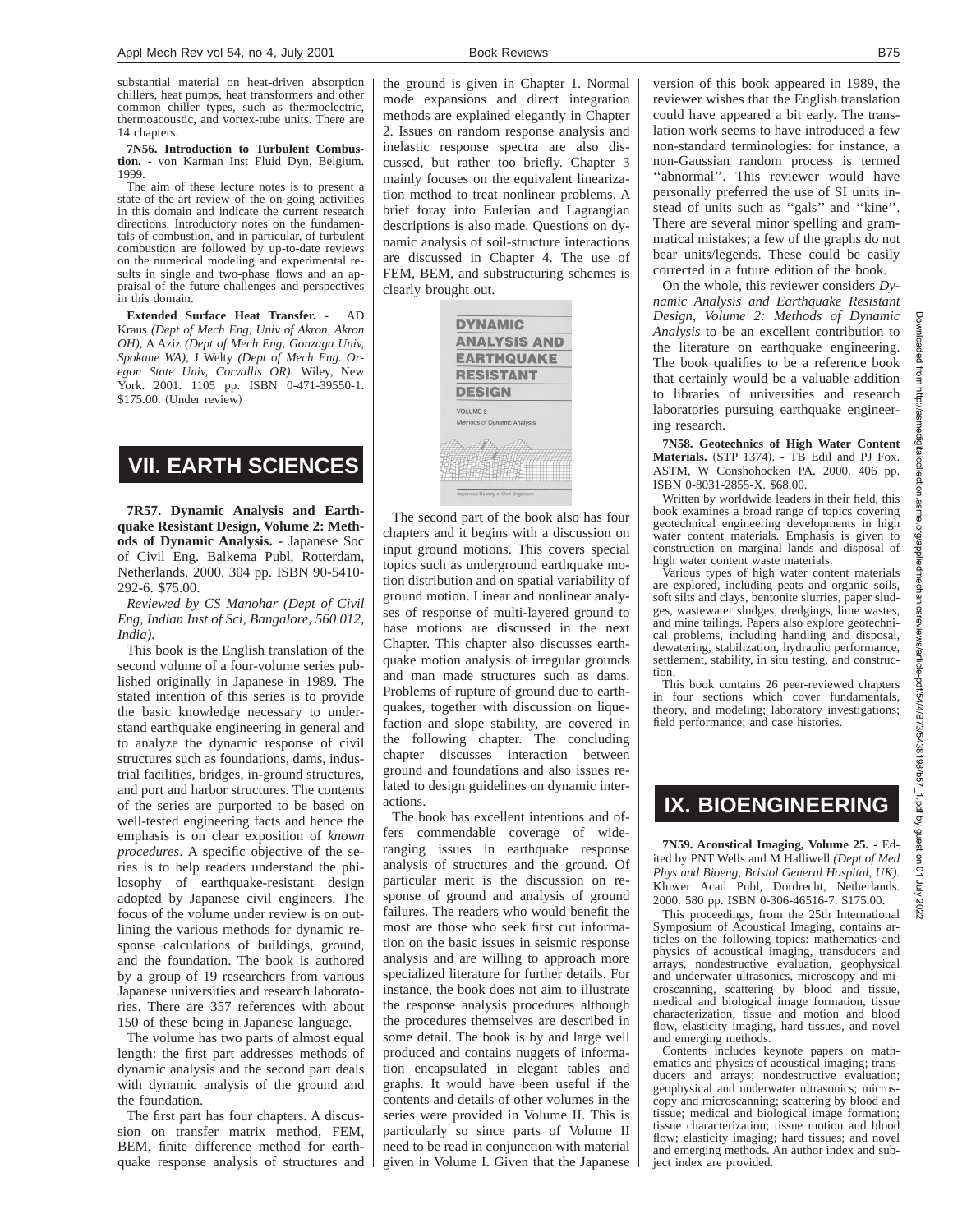substantial material on heat-driven absorption chillers, heat pumps, heat transformers and other common chiller types, such as thermoelectric, thermoacoustic, and vortex-tube units. There are 14 chapters.

**7N56. Introduction to Turbulent Combustion. -** von Karman Inst Fluid Dyn, Belgium. 1999.

The aim of these lecture notes is to present a state-of-the-art review of the on-going activities in this domain and indicate the current research directions. Introductory notes on the fundamentals of combustion, and in particular, of turbulent combustion are followed by up-to-date reviews on the numerical modeling and experimental results in single and two-phase flows and an appraisal of the future challenges and perspectives in this domain.

**Extended Surface Heat Transfer. -** AD Kraus *(Dept of Mech Eng, Univ of Akron, Akron OH),* A Aziz *(Dept of Mech Eng, Gonzaga Univ, Spokane WA),* J Welty *(Dept of Mech Eng. Oregon State Univ, Corvallis OR).* Wiley, New York. 2001. 1105 pp. ISBN 0-471-39550-1. \$175.00. (Under review)

### **VII. EARTH SCIENCES**

**7R57. Dynamic Analysis and Earthquake Resistant Design, Volume 2: Methods of Dynamic Analysis. -** Japanese Soc of Civil Eng. Balkema Publ, Rotterdam, Netherlands, 2000. 304 pp. ISBN 90-5410- 292-6. \$75.00.

*Reviewed by CS Manohar (Dept of Civil Eng, Indian Inst of Sci, Bangalore, 560 012, India).*

This book is the English translation of the second volume of a four-volume series published originally in Japanese in 1989. The stated intention of this series is to provide the basic knowledge necessary to understand earthquake engineering in general and to analyze the dynamic response of civil structures such as foundations, dams, industrial facilities, bridges, in-ground structures, and port and harbor structures. The contents of the series are purported to be based on well-tested engineering facts and hence the emphasis is on clear exposition of *known procedures*. A specific objective of the series is to help readers understand the philosophy of earthquake-resistant design adopted by Japanese civil engineers. The focus of the volume under review is on outlining the various methods for dynamic response calculations of buildings, ground, and the foundation. The book is authored by a group of 19 researchers from various Japanese universities and research laboratories. There are 357 references with about 150 of these being in Japanese language.

The volume has two parts of almost equal length: the first part addresses methods of dynamic analysis and the second part deals with dynamic analysis of the ground and the foundation.

The first part has four chapters. A discussion on transfer matrix method, FEM, BEM, finite difference method for earthquake response analysis of structures and the ground is given in Chapter 1. Normal mode expansions and direct integration methods are explained elegantly in Chapter 2. Issues on random response analysis and inelastic response spectra are also discussed, but rather too briefly. Chapter 3 mainly focuses on the equivalent linearization method to treat nonlinear problems. A brief foray into Eulerian and Lagrangian descriptions is also made. Questions on dynamic analysis of soil-structure interactions are discussed in Chapter 4. The use of FEM, BEM, and substructuring schemes is clearly brought out.



The second part of the book also has four chapters and it begins with a discussion on input ground motions. This covers special topics such as underground earthquake motion distribution and on spatial variability of ground motion. Linear and nonlinear analyses of response of multi-layered ground to base motions are discussed in the next Chapter. This chapter also discusses earthquake motion analysis of irregular grounds and man made structures such as dams. Problems of rupture of ground due to earthquakes, together with discussion on liquefaction and slope stability, are covered in the following chapter. The concluding chapter discusses interaction between ground and foundations and also issues related to design guidelines on dynamic interactions.

The book has excellent intentions and offers commendable coverage of wideranging issues in earthquake response analysis of structures and the ground. Of particular merit is the discussion on response of ground and analysis of ground failures. The readers who would benefit the most are those who seek first cut information on the basic issues in seismic response analysis and are willing to approach more specialized literature for further details. For instance, the book does not aim to illustrate the response analysis procedures although the procedures themselves are described in some detail. The book is by and large well produced and contains nuggets of information encapsulated in elegant tables and graphs. It would have been useful if the contents and details of other volumes in the series were provided in Volume II. This is particularly so since parts of Volume II need to be read in conjunction with material given in Volume I. Given that the Japanese

version of this book appeared in 1989, the reviewer wishes that the English translation could have appeared a bit early. The translation work seems to have introduced a few non-standard terminologies: for instance, a non-Gaussian random process is termed "abnormal". This reviewer would have personally preferred the use of SI units instead of units such as ''gals'' and ''kine''. There are several minor spelling and grammatical mistakes; a few of the graphs do not bear units/legends. These could be easily corrected in a future edition of the book.

On the whole, this reviewer considers *Dynamic Analysis and Earthquake Resistant Design, Volume 2: Methods of Dynamic Analysis* to be an excellent contribution to the literature on earthquake engineering. The book qualifies to be a reference book that certainly would be a valuable addition to libraries of universities and research laboratories pursuing earthquake engineering research.

**7N58. Geotechnics of High Water Content Materials.** (STP 1374). **-** TB Edil and PJ Fox. ASTM, W Conshohocken PA. 2000. 406 pp. ISBN 0-8031-2855-X. \$68.00.

Written by worldwide leaders in their field, this book examines a broad range of topics covering geotechnical engineering developments in high water content materials. Emphasis is given to construction on marginal lands and disposal of high water content waste materials.

Various types of high water content materials are explored, including peats and organic soils, soft silts and clays, bentonite slurries, paper sludges, wastewater sludges, dredgings, lime wastes, and mine tailings. Papers also explore geotechnical problems, including handling and disposal, dewatering, stabilization, hydraulic performance, settlement, stability, in situ testing, and construction.

This book contains 26 peer-reviewed chapters in four sections which cover fundamentals, theory, and modeling; laboratory investigations; field performance; and case histories.

wnloaded

mom

퓽

### **IX. BIOENGINEERING**

**7N59. Acoustical Imaging, Volume 25. -** Edited by PNT Wells and M Halliwell *(Dept of Med Phys and Bioeng, Bristol General Hospital, UK).* Kluwer Acad Publ, Dordrecht, Netherlands. 2000. 580 pp. ISBN 0-306-46516-7. \$175.00.

This proceedings, from the 25th International Symposium of Acoustical Imaging, contains articles on the following topics: mathematics and physics of acoustical imaging, transducers and arrays, nondestructive evaluation, geophysical and underwater ultrasonics, microscopy and microscanning, scattering by blood and tissue, medical and biological image formation, tissue characterization, tissue and motion and blood flow, elasticity imaging, hard tissues, and novel and emerging methods.

Contents includes keynote papers on mathematics and physics of acoustical imaging; transducers and arrays; nondestructive evaluation; geophysical and underwater ultrasonics; microscopy and microscanning; scattering by blood and tissue; medical and biological image formation; tissue characterization; tissue motion and blood flow; elasticity imaging; hard tissues; and novel and emerging methods. An author index and subject index are provided.